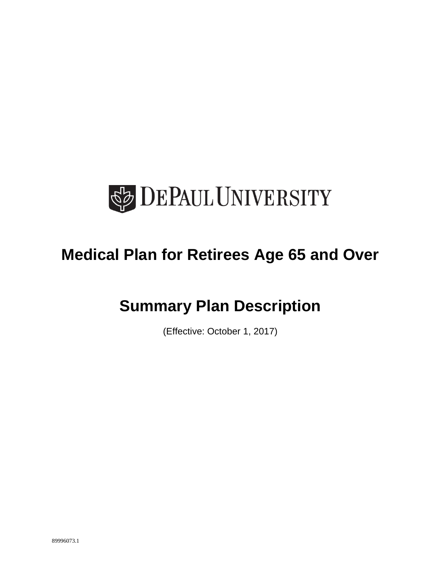

# **Medical Plan for Retirees Age 65 and Over**

# **Summary Plan Description**

(Effective: October 1, 2017)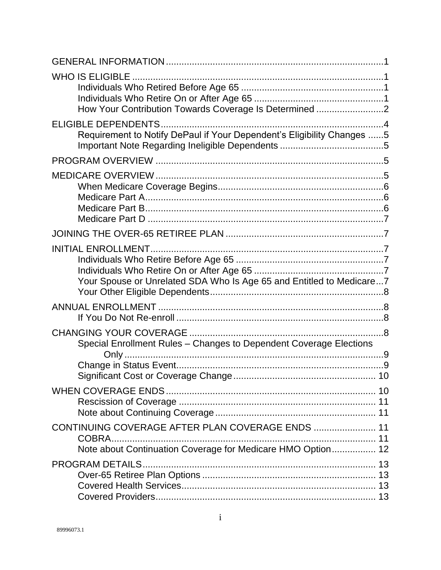| <b>WHO IS ELIGIBLE</b><br>How Your Contribution Towards Coverage Is Determined 2                                          |  |
|---------------------------------------------------------------------------------------------------------------------------|--|
| Requirement to Notify DePaul if Your Dependent's Eligibility Changes 5                                                    |  |
|                                                                                                                           |  |
|                                                                                                                           |  |
|                                                                                                                           |  |
| Your Spouse or Unrelated SDA Who Is Age 65 and Entitled to Medicare 7                                                     |  |
|                                                                                                                           |  |
| Special Enrollment Rules - Changes to Dependent Coverage Elections                                                        |  |
|                                                                                                                           |  |
| CONTINUING COVERAGE AFTER PLAN COVERAGE ENDS  11<br>COBRA.<br>Note about Continuation Coverage for Medicare HMO Option 12 |  |
| <b>PROGRAM DETAILS.</b>                                                                                                   |  |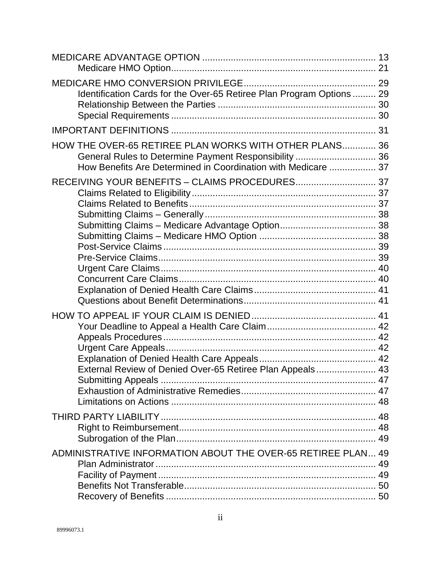| Identification Cards for the Over-65 Retiree Plan Program Options  29                                                                                                            |  |
|----------------------------------------------------------------------------------------------------------------------------------------------------------------------------------|--|
|                                                                                                                                                                                  |  |
| HOW THE OVER-65 RETIREE PLAN WORKS WITH OTHER PLANS 36<br>General Rules to Determine Payment Responsibility  36<br>How Benefits Are Determined in Coordination with Medicare  37 |  |
|                                                                                                                                                                                  |  |
| External Review of Denied Over-65 Retiree Plan Appeals 43                                                                                                                        |  |
|                                                                                                                                                                                  |  |
| ADMINISTRATIVE INFORMATION ABOUT THE OVER-65 RETIREE PLAN 49                                                                                                                     |  |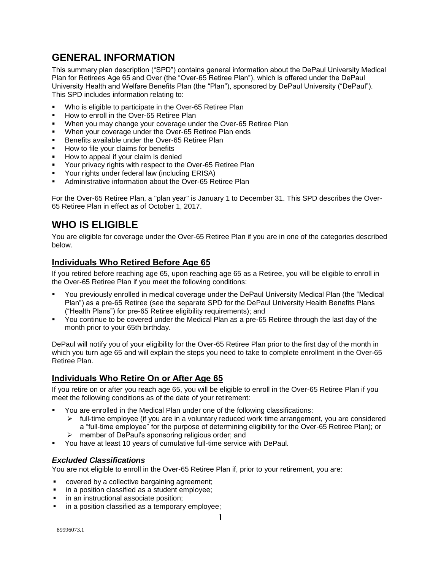## **GENERAL INFORMATION**

This summary plan description ("SPD") contains general information about the DePaul University Medical Plan for Retirees Age 65 and Over (the "Over-65 Retiree Plan"), which is offered under the DePaul University Health and Welfare Benefits Plan (the "Plan"), sponsored by DePaul University ("DePaul"). This SPD includes information relating to:

- Who is eligible to participate in the Over-65 Retiree Plan
- How to enroll in the Over-65 Retiree Plan
- When you may change your coverage under the Over-65 Retiree Plan
- When your coverage under the Over-65 Retiree Plan ends
- Benefits available under the Over-65 Retiree Plan
- How to file your claims for benefits
- How to appeal if your claim is denied
- **Your privacy rights with respect to the Over-65 Retiree Plan**
- Your rights under federal law (including ERISA)
- Administrative information about the Over-65 Retiree Plan

For the Over-65 Retiree Plan, a "plan year" is January 1 to December 31. This SPD describes the Over-65 Retiree Plan in effect as of October 1, 2017.

## **WHO IS ELIGIBLE**

You are eligible for coverage under the Over-65 Retiree Plan if you are in one of the categories described below.

## **Individuals Who Retired Before Age 65**

If you retired before reaching age 65, upon reaching age 65 as a Retiree, you will be eligible to enroll in the Over-65 Retiree Plan if you meet the following conditions:

- You previously enrolled in medical coverage under the DePaul University Medical Plan (the "Medical Plan") as a pre-65 Retiree (see the separate SPD for the DePaul University Health Benefits Plans ("Health Plans") for pre-65 Retiree eligibility requirements); and
- You continue to be covered under the Medical Plan as a pre-65 Retiree through the last day of the month prior to your 65th birthday.

DePaul will notify you of your eligibility for the Over-65 Retiree Plan prior to the first day of the month in which you turn age 65 and will explain the steps you need to take to complete enrollment in the Over-65 Retiree Plan.

## **Individuals Who Retire On or After Age 65**

If you retire on or after you reach age 65, you will be eligible to enroll in the Over-65 Retiree Plan if you meet the following conditions as of the date of your retirement:

- You are enrolled in the Medical Plan under one of the following classifications:
	- $\triangleright$  full-time employee (if you are in a voluntary reduced work time arrangement, you are considered a "full-time employee" for the purpose of determining eligibility for the Over-65 Retiree Plan); or
		- member of DePaul's sponsoring religious order; and
- You have at least 10 years of cumulative full-time service with DePaul.

### *Excluded Classifications*

You are not eligible to enroll in the Over-65 Retiree Plan if, prior to your retirement, you are:

- covered by a collective bargaining agreement;
- **in a position classified as a student employee;**
- in an instructional associate position;
- in a position classified as a temporary employee;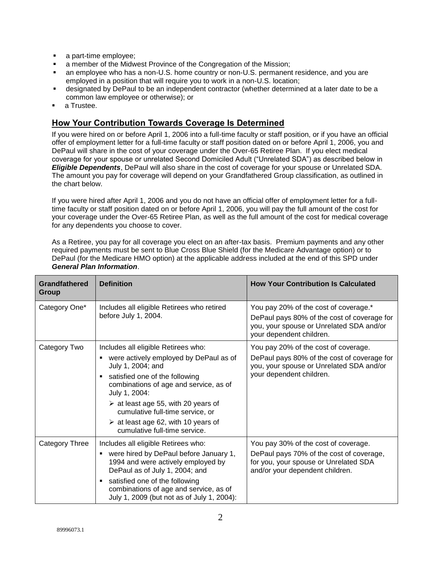- a part-time employee;
- a member of the Midwest Province of the Congregation of the Mission;
- an employee who has a non-U.S. home country or non-U.S. permanent residence, and you are employed in a position that will require you to work in a non-U.S. location;
- designated by DePaul to be an independent contractor (whether determined at a later date to be a common law employee or otherwise); or
- a Trustee.

## **How Your Contribution Towards Coverage Is Determined**

If you were hired on or before April 1, 2006 into a full-time faculty or staff position, or if you have an official offer of employment letter for a full-time faculty or staff position dated on or before April 1, 2006, you and DePaul will share in the cost of your coverage under the Over-65 Retiree Plan. If you elect medical coverage for your spouse or unrelated Second Domiciled Adult ("Unrelated SDA") as described below in *Eligible Dependents*, DePaul will also share in the cost of coverage for your spouse or Unrelated SDA. The amount you pay for coverage will depend on your Grandfathered Group classification, as outlined in the chart below.

If you were hired after April 1, 2006 and you do not have an official offer of employment letter for a fulltime faculty or staff position dated on or before April 1, 2006, you will pay the full amount of the cost for your coverage under the Over-65 Retiree Plan, as well as the full amount of the cost for medical coverage for any dependents you choose to cover.

As a Retiree, you pay for all coverage you elect on an after-tax basis. Premium payments and any other required payments must be sent to Blue Cross Blue Shield (for the Medicare Advantage option) or to DePaul (for the Medicare HMO option) at the applicable address included at the end of this SPD under *General Plan Information*.

| <b>Grandfathered</b><br>Group | <b>Definition</b>                                                                                                                                                                                                                                                                                                                                                          | <b>How Your Contribution Is Calculated</b>                                                                                                                   |
|-------------------------------|----------------------------------------------------------------------------------------------------------------------------------------------------------------------------------------------------------------------------------------------------------------------------------------------------------------------------------------------------------------------------|--------------------------------------------------------------------------------------------------------------------------------------------------------------|
| Category One*                 | Includes all eligible Retirees who retired<br>before July 1, 2004.                                                                                                                                                                                                                                                                                                         | You pay 20% of the cost of coverage.*<br>DePaul pays 80% of the cost of coverage for<br>you, your spouse or Unrelated SDA and/or<br>your dependent children. |
| Category Two                  | Includes all eligible Retirees who:<br>were actively employed by DePaul as of<br>July 1, 2004; and<br>satisfied one of the following<br>٠<br>combinations of age and service, as of<br>July 1, 2004:<br>$\ge$ at least age 55, with 20 years of<br>cumulative full-time service, or<br>$\triangleright$ at least age 62, with 10 years of<br>cumulative full-time service. | You pay 20% of the cost of coverage.<br>DePaul pays 80% of the cost of coverage for<br>you, your spouse or Unrelated SDA and/or<br>your dependent children.  |
| Category Three                | Includes all eligible Retirees who:<br>were hired by DePaul before January 1,<br>1994 and were actively employed by<br>DePaul as of July 1, 2004; and<br>satisfied one of the following<br>٠<br>combinations of age and service, as of<br>July 1, 2009 (but not as of July 1, 2004):                                                                                       | You pay 30% of the cost of coverage.<br>DePaul pays 70% of the cost of coverage,<br>for you, your spouse or Unrelated SDA<br>and/or your dependent children. |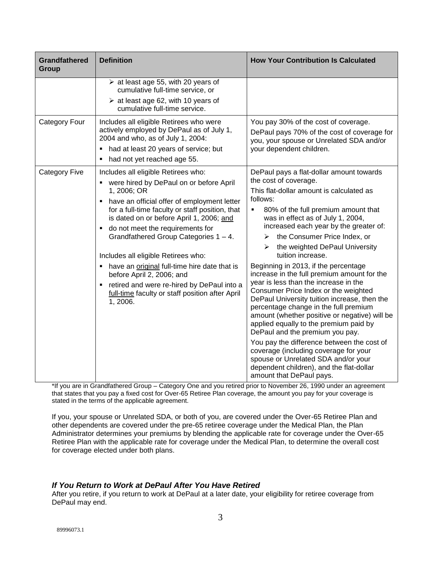| <b>Grandfathered</b><br><b>Group</b> | <b>Definition</b>                                                                                                                                                                                                                                                                                                                                                                                                                                                                                                                                           | <b>How Your Contribution Is Calculated</b>                                                                                                                                                                                                                                                                                                                                                                                                                                                                                                                                                                                                                                                                                                                                                                                                                                                                                                                 |
|--------------------------------------|-------------------------------------------------------------------------------------------------------------------------------------------------------------------------------------------------------------------------------------------------------------------------------------------------------------------------------------------------------------------------------------------------------------------------------------------------------------------------------------------------------------------------------------------------------------|------------------------------------------------------------------------------------------------------------------------------------------------------------------------------------------------------------------------------------------------------------------------------------------------------------------------------------------------------------------------------------------------------------------------------------------------------------------------------------------------------------------------------------------------------------------------------------------------------------------------------------------------------------------------------------------------------------------------------------------------------------------------------------------------------------------------------------------------------------------------------------------------------------------------------------------------------------|
|                                      | $\triangleright$ at least age 55, with 20 years of<br>cumulative full-time service, or<br>$\triangleright$ at least age 62, with 10 years of<br>cumulative full-time service.                                                                                                                                                                                                                                                                                                                                                                               |                                                                                                                                                                                                                                                                                                                                                                                                                                                                                                                                                                                                                                                                                                                                                                                                                                                                                                                                                            |
| Category Four                        | Includes all eligible Retirees who were<br>actively employed by DePaul as of July 1,<br>2004 and who, as of July 1, 2004:<br>had at least 20 years of service; but<br>had not yet reached age 55.<br>п                                                                                                                                                                                                                                                                                                                                                      | You pay 30% of the cost of coverage.<br>DePaul pays 70% of the cost of coverage for<br>you, your spouse or Unrelated SDA and/or<br>your dependent children.                                                                                                                                                                                                                                                                                                                                                                                                                                                                                                                                                                                                                                                                                                                                                                                                |
| <b>Category Five</b>                 | Includes all eligible Retirees who:<br>• were hired by DePaul on or before April<br>1, 2006; OR<br>have an official offer of employment letter<br>for a full-time faculty or staff position, that<br>is dated on or before April 1, 2006; and<br>do not meet the requirements for<br>Grandfathered Group Categories 1 - 4.<br>Includes all eligible Retirees who:<br>have an original full-time hire date that is<br>before April 2, 2006; and<br>retired and were re-hired by DePaul into a<br>full-time faculty or staff position after April<br>1, 2006. | DePaul pays a flat-dollar amount towards<br>the cost of coverage.<br>This flat-dollar amount is calculated as<br>follows:<br>80% of the full premium amount that<br>٠<br>was in effect as of July 1, 2004,<br>increased each year by the greater of:<br>the Consumer Price Index, or<br>⋗<br>the weighted DePaul University<br>⋗<br>tuition increase.<br>Beginning in 2013, if the percentage<br>increase in the full premium amount for the<br>year is less than the increase in the<br>Consumer Price Index or the weighted<br>DePaul University tuition increase, then the<br>percentage change in the full premium<br>amount (whether positive or negative) will be<br>applied equally to the premium paid by<br>DePaul and the premium you pay.<br>You pay the difference between the cost of<br>coverage (including coverage for your<br>spouse or Unrelated SDA and/or your<br>dependent children), and the flat-dollar<br>amount that DePaul pays. |

\*If you are in Grandfathered Group – Category One and you retired prior to November 26, 1990 under an agreement that states that you pay a fixed cost for Over-65 Retiree Plan coverage, the amount you pay for your coverage is stated in the terms of the applicable agreement.

If you, your spouse or Unrelated SDA, or both of you, are covered under the Over-65 Retiree Plan and other dependents are covered under the pre-65 retiree coverage under the Medical Plan, the Plan Administrator determines your premiums by blending the applicable rate for coverage under the Over-65 Retiree Plan with the applicable rate for coverage under the Medical Plan, to determine the overall cost for coverage elected under both plans.

### *If You Return to Work at DePaul After You Have Retired*

After you retire, if you return to work at DePaul at a later date, your eligibility for retiree coverage from DePaul may end.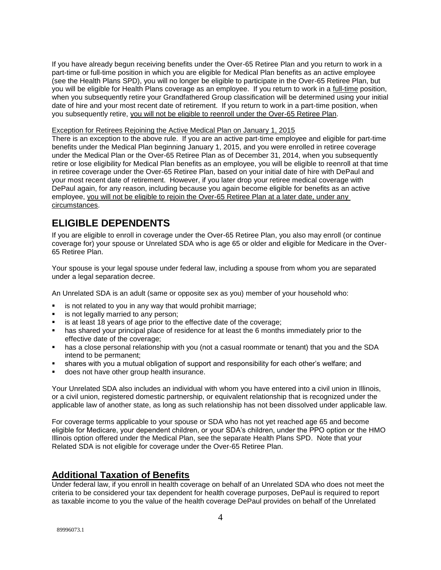If you have already begun receiving benefits under the Over-65 Retiree Plan and you return to work in a part-time or full-time position in which you are eligible for Medical Plan benefits as an active employee (see the Health Plans SPD), you will no longer be eligible to participate in the Over-65 Retiree Plan, but you will be eligible for Health Plans coverage as an employee. If you return to work in a full-time position, when you subsequently retire your Grandfathered Group classification will be determined using your initial date of hire and your most recent date of retirement. If you return to work in a part-time position, when you subsequently retire, you will not be eligible to reenroll under the Over-65 Retiree Plan.

#### Exception for Retirees Rejoining the Active Medical Plan on January 1, 2015

There is an exception to the above rule. If you are an active part-time employee and eligible for part-time benefits under the Medical Plan beginning January 1, 2015, and you were enrolled in retiree coverage under the Medical Plan or the Over-65 Retiree Plan as of December 31, 2014, when you subsequently retire or lose eligibility for Medical Plan benefits as an employee, you will be eligible to reenroll at that time in retiree coverage under the Over-65 Retiree Plan, based on your initial date of hire with DePaul and your most recent date of retirement. However, if you later drop your retiree medical coverage with DePaul again, for any reason, including because you again become eligible for benefits as an active employee, you will not be eligible to rejoin the Over-65 Retiree Plan at a later date, under any circumstances.

## **ELIGIBLE DEPENDENTS**

If you are eligible to enroll in coverage under the Over-65 Retiree Plan, you also may enroll (or continue coverage for) your spouse or Unrelated SDA who is age 65 or older and eligible for Medicare in the Over-65 Retiree Plan.

Your spouse is your legal spouse under federal law, including a spouse from whom you are separated under a legal separation decree.

An Unrelated SDA is an adult (same or opposite sex as you) member of your household who:

- is not related to you in any way that would prohibit marriage;
- is not legally married to any person;
- is at least 18 years of age prior to the effective date of the coverage;
- has shared your principal place of residence for at least the 6 months immediately prior to the effective date of the coverage;
- has a close personal relationship with you (not a casual roommate or tenant) that you and the SDA intend to be permanent;
- shares with you a mutual obligation of support and responsibility for each other's welfare; and
- does not have other group health insurance.

Your Unrelated SDA also includes an individual with whom you have entered into a civil union in Illinois, or a civil union, registered domestic partnership, or equivalent relationship that is recognized under the applicable law of another state, as long as such relationship has not been dissolved under applicable law.

For coverage terms applicable to your spouse or SDA who has not yet reached age 65 and become eligible for Medicare, your dependent children, or your SDA's children, under the PPO option or the HMO Illinois option offered under the Medical Plan, see the separate Health Plans SPD. Note that your Related SDA is not eligible for coverage under the Over-65 Retiree Plan.

#### **Additional Taxation of Benefits**

Under federal law, if you enroll in health coverage on behalf of an Unrelated SDA who does not meet the criteria to be considered your tax dependent for health coverage purposes, DePaul is required to report as taxable income to you the value of the health coverage DePaul provides on behalf of the Unrelated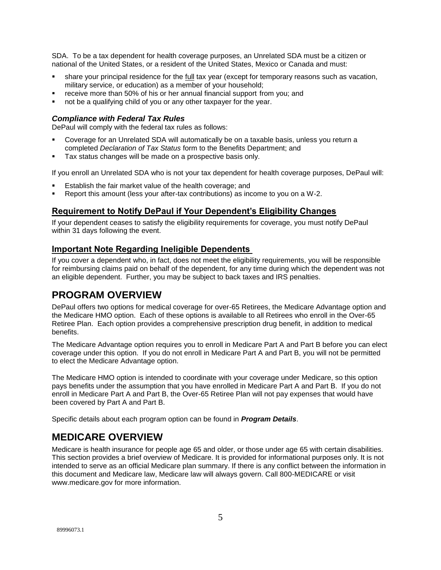SDA. To be a tax dependent for health coverage purposes, an Unrelated SDA must be a citizen or national of the United States, or a resident of the United States, Mexico or Canada and must:

- share your principal residence for the full tax year (except for temporary reasons such as vacation, military service, or education) as a member of your household;
- receive more than 50% of his or her annual financial support from you; and
- not be a qualifying child of you or any other taxpayer for the year.

#### *Compliance with Federal Tax Rules*

DePaul will comply with the federal tax rules as follows:

- Coverage for an Unrelated SDA will automatically be on a taxable basis, unless you return a completed *Declaration of Tax Status* form to the Benefits Department; and
- Tax status changes will be made on a prospective basis only.

If you enroll an Unrelated SDA who is not your tax dependent for health coverage purposes, DePaul will:

- Establish the fair market value of the health coverage; and
- Report this amount (less your after-tax contributions) as income to you on a W-2.

### **Requirement to Notify DePaul if Your Dependent's Eligibility Changes**

If your dependent ceases to satisfy the eligibility requirements for coverage, you must notify DePaul within 31 days following the event.

### **Important Note Regarding Ineligible Dependents**

If you cover a dependent who, in fact, does not meet the eligibility requirements, you will be responsible for reimbursing claims paid on behalf of the dependent, for any time during which the dependent was not an eligible dependent. Further, you may be subject to back taxes and IRS penalties.

## **PROGRAM OVERVIEW**

DePaul offers two options for medical coverage for over-65 Retirees, the Medicare Advantage option and the Medicare HMO option. Each of these options is available to all Retirees who enroll in the Over-65 Retiree Plan. Each option provides a comprehensive prescription drug benefit, in addition to medical benefits.

The Medicare Advantage option requires you to enroll in Medicare Part A and Part B before you can elect coverage under this option. If you do not enroll in Medicare Part A and Part B, you will not be permitted to elect the Medicare Advantage option.

The Medicare HMO option is intended to coordinate with your coverage under Medicare, so this option pays benefits under the assumption that you have enrolled in Medicare Part A and Part B. If you do not enroll in Medicare Part A and Part B, the Over-65 Retiree Plan will not pay expenses that would have been covered by Part A and Part B.

Specific details about each program option can be found in *Program Details*.

## **MEDICARE OVERVIEW**

Medicare is health insurance for people age 65 and older, or those under age 65 with certain disabilities. This section provides a brief overview of Medicare. It is provided for informational purposes only. It is not intended to serve as an official Medicare plan summary. If there is any conflict between the information in this document and Medicare law, Medicare law will always govern. Call 800-MEDICARE or visit [www.medicare.gov](http://www.medicare.gov/) for more information.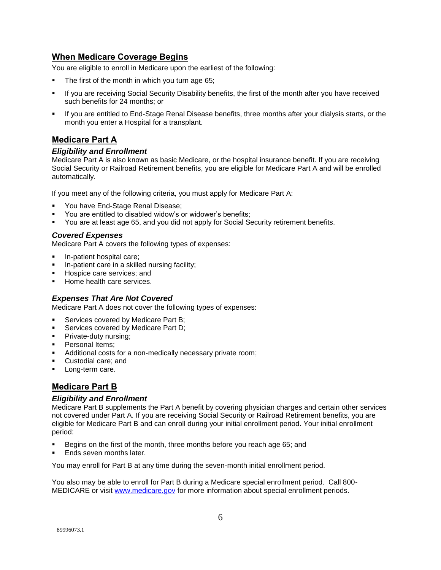## **When Medicare Coverage Begins**

You are eligible to enroll in Medicare upon the earliest of the following:

- The first of the month in which you turn age 65;
- If you are receiving Social Security Disability benefits, the first of the month after you have received such benefits for 24 months; or
- If you are entitled to End-Stage Renal Disease benefits, three months after your dialysis starts, or the month you enter a Hospital for a transplant.

## **Medicare Part A**

#### *Eligibility and Enrollment*

Medicare Part A is also known as basic Medicare, or the hospital insurance benefit. If you are receiving Social Security or Railroad Retirement benefits, you are eligible for Medicare Part A and will be enrolled automatically.

If you meet any of the following criteria, you must apply for Medicare Part A:

- You have End-Stage Renal Disease;
- You are entitled to disabled widow's or widower's benefits;
- You are at least age 65, and you did not apply for Social Security retirement benefits.

#### *Covered Expenses*

Medicare Part A covers the following types of expenses:

- In-patient hospital care;
- **ID-patient care in a skilled nursing facility;**
- Hospice care services; and
- Home health care services.

#### *Expenses That Are Not Covered*

Medicare Part A does not cover the following types of expenses:

- Services covered by Medicare Part B;
- Services covered by Medicare Part D;
- Private-duty nursing;
- Personal Items;
- Additional costs for a non-medically necessary private room;
- Custodial care; and
- **Long-term care.**

### **Medicare Part B**

#### *Eligibility and Enrollment*

Medicare Part B supplements the Part A benefit by covering physician charges and certain other services not covered under Part A. If you are receiving Social Security or Railroad Retirement benefits, you are eligible for Medicare Part B and can enroll during your initial enrollment period. Your initial enrollment period:

- Begins on the first of the month, three months before you reach age 65; and
- Ends seven months later.

You may enroll for Part B at any time during the seven-month initial enrollment period.

You also may be able to enroll for Part B during a Medicare special enrollment period. Call 800- MEDICARE or visit [www.medicare.gov](http://www.medicare.gov/) for more information about special enrollment periods.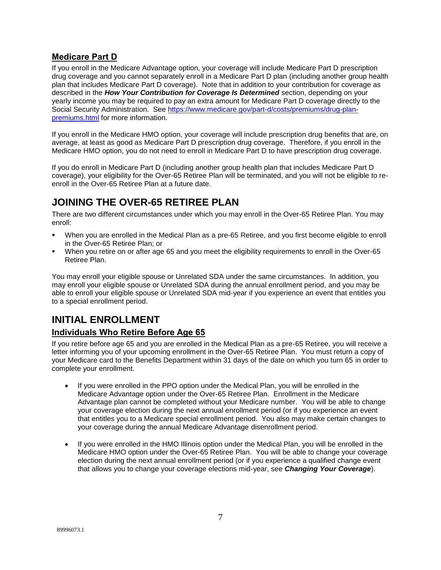## **Medicare Part D**

If you enroll in the Medicare Advantage option, your coverage will include Medicare Part D prescription drug coverage and you cannot separately enroll in a Medicare Part D plan (including another group health plan that includes Medicare Part D coverage). Note that in addition to your contribution for coverage as described in the *How Your Contribution for Coverage Is Determined* section, depending on your yearly income you may be required to pay an extra amount for Medicare Part D coverage directly to the Social Security Administration. See [https://www.medicare.gov/part-d/costs/premiums/drug-plan](https://www.medicare.gov/part-d/costs/premiums/drug-plan-premiums.html)[premiums.html](https://www.medicare.gov/part-d/costs/premiums/drug-plan-premiums.html) for more information.

If you enroll in the Medicare HMO option, your coverage will include prescription drug benefits that are, on average, at least as good as Medicare Part D prescription drug coverage. Therefore, if you enroll in the Medicare HMO option, you do not need to enroll in Medicare Part D to have prescription drug coverage.

If you do enroll in Medicare Part D (including another group health plan that includes Medicare Part D coverage), your eligibility for the Over-65 Retiree Plan will be terminated, and you will not be eligible to reenroll in the Over-65 Retiree Plan at a future date.

## **JOINING THE OVER-65 RETIREE PLAN**

There are two different circumstances under which you may enroll in the Over-65 Retiree Plan. You may enroll:

- When you are enrolled in the Medical Plan as a pre-65 Retiree, and you first become eligible to enroll in the Over-65 Retiree Plan; or
- When you retire on or after age 65 and you meet the eligibility requirements to enroll in the Over-65 Retiree Plan.

You may enroll your eligible spouse or Unrelated SDA under the same circumstances. In addition, you may enroll your eligible spouse or Unrelated SDA during the annual enrollment period, and you may be able to enroll your eligible spouse or Unrelated SDA mid-year if you experience an event that entitles you to a special enrollment period.

## **INITIAL ENROLLMENT**

## **Individuals Who Retire Before Age 65**

If you retire before age 65 and you are enrolled in the Medical Plan as a pre-65 Retiree, you will receive a letter informing you of your upcoming enrollment in the Over-65 Retiree Plan. You must return a copy of your Medicare card to the Benefits Department within 31 days of the date on which you turn 65 in order to complete your enrollment.

- If you were enrolled in the PPO option under the Medical Plan, you will be enrolled in the Medicare Advantage option under the Over-65 Retiree Plan. Enrollment in the Medicare Advantage plan cannot be completed without your Medicare number. You will be able to change your coverage election during the next annual enrollment period (or if you experience an event that entitles you to a Medicare special enrollment period. You also may make certain changes to your coverage during the annual Medicare Advantage disenrollment period.
- If you were enrolled in the HMO Illinois option under the Medical Plan, you will be enrolled in the Medicare HMO option under the Over-65 Retiree Plan. You will be able to change your coverage election during the next annual enrollment period (or if you experience a qualified change event that allows you to change your coverage elections mid-year, see *Changing Your Coverage*).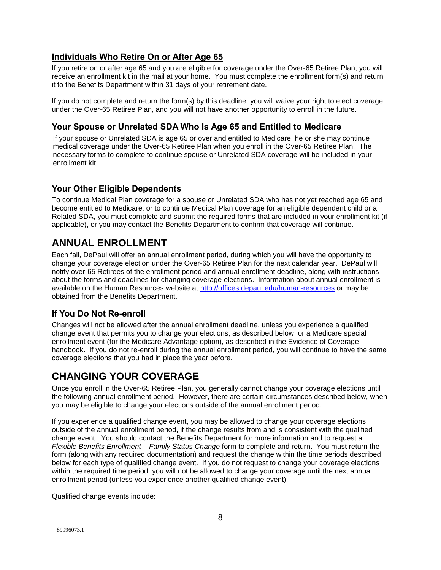## **Individuals Who Retire On or After Age 65**

If you retire on or after age 65 and you are eligible for coverage under the Over-65 Retiree Plan, you will receive an enrollment kit in the mail at your home. You must complete the enrollment form(s) and return it to the Benefits Department within 31 days of your retirement date.

If you do not complete and return the form(s) by this deadline, you will waive your right to elect coverage under the Over-65 Retiree Plan, and you will not have another opportunity to enroll in the future.

## **Your Spouse or Unrelated SDA Who Is Age 65 and Entitled to Medicare**

If your spouse or Unrelated SDA is age 65 or over and entitled to Medicare, he or she may continue medical coverage under the Over-65 Retiree Plan when you enroll in the Over-65 Retiree Plan. The necessary forms to complete to continue spouse or Unrelated SDA coverage will be included in your enrollment kit.

## **Your Other Eligible Dependents**

To continue Medical Plan coverage for a spouse or Unrelated SDA who has not yet reached age 65 and become entitled to Medicare, or to continue Medical Plan coverage for an eligible dependent child or a Related SDA, you must complete and submit the required forms that are included in your enrollment kit (if applicable), or you may contact the Benefits Department to confirm that coverage will continue.

## **ANNUAL ENROLLMENT**

Each fall, DePaul will offer an annual enrollment period, during which you will have the opportunity to change your coverage election under the Over-65 Retiree Plan for the next calendar year. DePaul will notify over-65 Retirees of the enrollment period and annual enrollment deadline, along with instructions about the forms and deadlines for changing coverage elections. Information about annual enrollment is available on the Human Resources website at<http://offices.depaul.edu/human-resources> or may be obtained from the Benefits Department.

## **If You Do Not Re-enroll**

Changes will not be allowed after the annual enrollment deadline, unless you experience a qualified change event that permits you to change your elections, as described below, or a Medicare special enrollment event (for the Medicare Advantage option), as described in the Evidence of Coverage handbook. If you do not re-enroll during the annual enrollment period, you will continue to have the same coverage elections that you had in place the year before.

## **CHANGING YOUR COVERAGE**

Once you enroll in the Over-65 Retiree Plan, you generally cannot change your coverage elections until the following annual enrollment period. However, there are certain circumstances described below, when you may be eligible to change your elections outside of the annual enrollment period.

If you experience a qualified change event, you may be allowed to change your coverage elections outside of the annual enrollment period, if the change results from and is consistent with the qualified change event. You should contact the Benefits Department for more information and to request a *Flexible Benefits Enrollment – Family Status Change* form to complete and return. You must return the form (along with any required documentation) and request the change within the time periods described below for each type of qualified change event. If you do not request to change your coverage elections within the required time period, you will not be allowed to change your coverage until the next annual enrollment period (unless you experience another qualified change event).

Qualified change events include: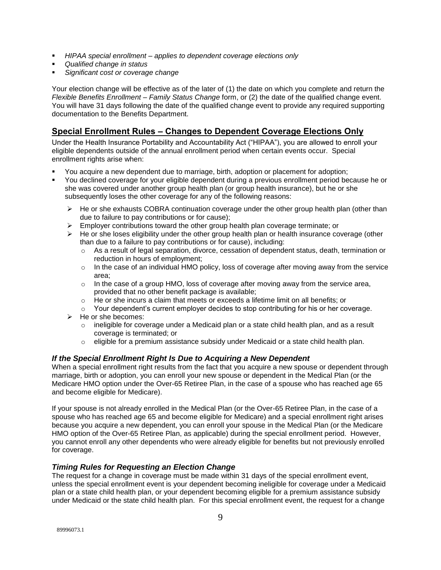- *HIPAA special enrollment – applies to dependent coverage elections only*
- *Qualified change in status*
- *Significant cost or coverage change*

Your election change will be effective as of the later of (1) the date on which you complete and return the *Flexible Benefits Enrollment – Family Status Change* form, or (2) the date of the qualified change event. You will have 31 days following the date of the qualified change event to provide any required supporting documentation to the Benefits Department.

## **Special Enrollment Rules – Changes to Dependent Coverage Elections Only**

Under the Health Insurance Portability and Accountability Act ("HIPAA"), you are allowed to enroll your eligible dependents outside of the annual enrollment period when certain events occur. Special enrollment rights arise when:

- You acquire a new dependent due to marriage, birth, adoption or placement for adoption;
- You declined coverage for your eligible dependent during a previous enrollment period because he or she was covered under another group health plan (or group health insurance), but he or she subsequently loses the other coverage for any of the following reasons:
	- $\triangleright$  He or she exhausts COBRA continuation coverage under the other group health plan (other than due to failure to pay contributions or for cause);
	- $\triangleright$  Employer contributions toward the other group health plan coverage terminate; or
	- $\triangleright$  He or she loses eligibility under the other group health plan or health insurance coverage (other than due to a failure to pay contributions or for cause), including:
		- $\circ$  As a result of legal separation, divorce, cessation of dependent status, death, termination or reduction in hours of employment;
		- $\circ$  In the case of an individual HMO policy, loss of coverage after moving away from the service area;
		- $\circ$  In the case of a group HMO, loss of coverage after moving away from the service area, provided that no other benefit package is available;
		- $\circ$  He or she incurs a claim that meets or exceeds a lifetime limit on all benefits; or
		- $\circ$  Your dependent's current employer decides to stop contributing for his or her coverage.
	- $\triangleright$  He or she becomes:
		- $\circ$  ineligible for coverage under a Medicaid plan or a state child health plan, and as a result coverage is terminated; or
		- $\circ$  eligible for a premium assistance subsidy under Medicaid or a state child health plan.

#### *If the Special Enrollment Right Is Due to Acquiring a New Dependent*

When a special enrollment right results from the fact that you acquire a new spouse or dependent through marriage, birth or adoption, you can enroll your new spouse or dependent in the Medical Plan (or the Medicare HMO option under the Over-65 Retiree Plan, in the case of a spouse who has reached age 65 and become eligible for Medicare).

If your spouse is not already enrolled in the Medical Plan (or the Over-65 Retiree Plan, in the case of a spouse who has reached age 65 and become eligible for Medicare) and a special enrollment right arises because you acquire a new dependent, you can enroll your spouse in the Medical Plan (or the Medicare HMO option of the Over-65 Retiree Plan, as applicable) during the special enrollment period. However, you cannot enroll any other dependents who were already eligible for benefits but not previously enrolled for coverage.

#### *Timing Rules for Requesting an Election Change*

The request for a change in coverage must be made within 31 days of the special enrollment event, unless the special enrollment event is your dependent becoming ineligible for coverage under a Medicaid plan or a state child health plan, or your dependent becoming eligible for a premium assistance subsidy under Medicaid or the state child health plan. For this special enrollment event, the request for a change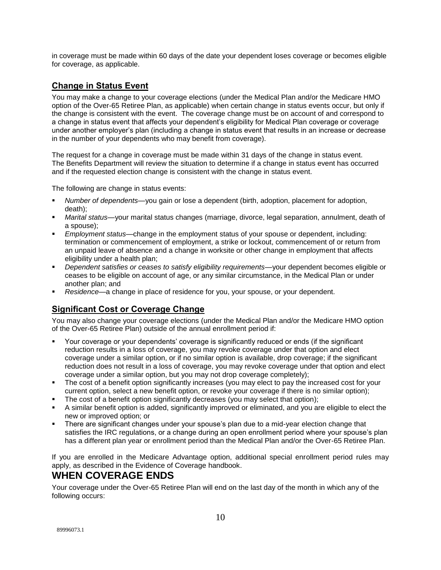in coverage must be made within 60 days of the date your dependent loses coverage or becomes eligible for coverage, as applicable.

## **Change in Status Event**

You may make a change to your coverage elections (under the Medical Plan and/or the Medicare HMO option of the Over-65 Retiree Plan, as applicable) when certain change in status events occur, but only if the change is consistent with the event. The coverage change must be on account of and correspond to a change in status event that affects your dependent's eligibility for Medical Plan coverage or coverage under another employer's plan (including a change in status event that results in an increase or decrease in the number of your dependents who may benefit from coverage).

The request for a change in coverage must be made within 31 days of the change in status event. The Benefits Department will review the situation to determine if a change in status event has occurred and if the requested election change is consistent with the change in status event.

The following are change in status events:

- *Number of dependents*—you gain or lose a dependent (birth, adoption, placement for adoption, death);
- *Marital status—*your marital status changes (marriage, divorce, legal separation, annulment, death of a spouse);
- *Employment status—*change in the employment status of your spouse or dependent, including: termination or commencement of employment, a strike or lockout, commencement of or return from an unpaid leave of absence and a change in worksite or other change in employment that affects eligibility under a health plan;
- *Dependent satisfies or ceases to satisfy eligibility requirements—*your dependent becomes eligible or ceases to be eligible on account of age, or any similar circumstance, in the Medical Plan or under another plan; and
- *Residence—*a change in place of residence for you, your spouse, or your dependent.

### **Significant Cost or Coverage Change**

You may also change your coverage elections (under the Medical Plan and/or the Medicare HMO option of the Over-65 Retiree Plan) outside of the annual enrollment period if:

- Your coverage or your dependents' coverage is significantly reduced or ends (if the significant reduction results in a loss of coverage, you may revoke coverage under that option and elect coverage under a similar option, or if no similar option is available, drop coverage; if the significant reduction does not result in a loss of coverage, you may revoke coverage under that option and elect coverage under a similar option, but you may not drop coverage completely);
- The cost of a benefit option significantly increases (you may elect to pay the increased cost for your current option, select a new benefit option, or revoke your coverage if there is no similar option);
- The cost of a benefit option significantly decreases (you may select that option);
- A similar benefit option is added, significantly improved or eliminated, and you are eligible to elect the new or improved option; or
- There are significant changes under your spouse's plan due to a mid-year election change that satisfies the IRC regulations, or a change during an open enrollment period where your spouse's plan has a different plan year or enrollment period than the Medical Plan and/or the Over-65 Retiree Plan.

If you are enrolled in the Medicare Advantage option, additional special enrollment period rules may apply, as described in the Evidence of Coverage handbook.

## **WHEN COVERAGE ENDS**

Your coverage under the Over-65 Retiree Plan will end on the last day of the month in which any of the following occurs:

10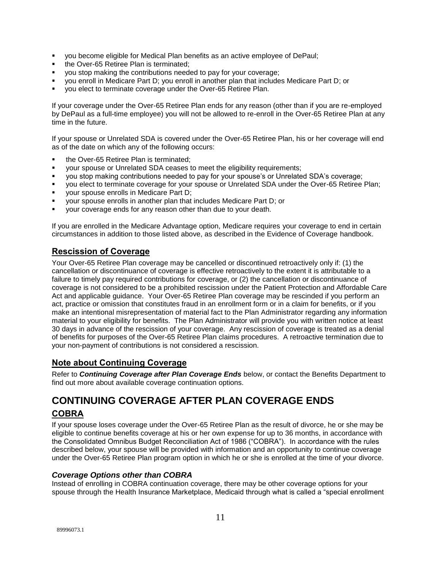- you become eligible for Medical Plan benefits as an active employee of DePaul;
- the Over-65 Retiree Plan is terminated;
- you stop making the contributions needed to pay for your coverage;
- you enroll in Medicare Part D; you enroll in another plan that includes Medicare Part D; or
- you elect to terminate coverage under the Over-65 Retiree Plan.

If your coverage under the Over-65 Retiree Plan ends for any reason (other than if you are re-employed by DePaul as a full-time employee) you will not be allowed to re-enroll in the Over-65 Retiree Plan at any time in the future.

If your spouse or Unrelated SDA is covered under the Over-65 Retiree Plan, his or her coverage will end as of the date on which any of the following occurs:

- the Over-65 Retiree Plan is terminated;
- your spouse or Unrelated SDA ceases to meet the eligibility requirements;
- you stop making contributions needed to pay for your spouse's or Unrelated SDA's coverage;
- you elect to terminate coverage for your spouse or Unrelated SDA under the Over-65 Retiree Plan;
- your spouse enrolls in Medicare Part D;
- your spouse enrolls in another plan that includes Medicare Part D; or
- your coverage ends for any reason other than due to your death.

If you are enrolled in the Medicare Advantage option, Medicare requires your coverage to end in certain circumstances in addition to those listed above, as described in the Evidence of Coverage handbook.

## **Rescission of Coverage**

Your Over-65 Retiree Plan coverage may be cancelled or discontinued retroactively only if: (1) the cancellation or discontinuance of coverage is effective retroactively to the extent it is attributable to a failure to timely pay required contributions for coverage, or (2) the cancellation or discontinuance of coverage is not considered to be a prohibited rescission under the Patient Protection and Affordable Care Act and applicable guidance. Your Over-65 Retiree Plan coverage may be rescinded if you perform an act, practice or omission that constitutes fraud in an enrollment form or in a claim for benefits, or if you make an intentional misrepresentation of material fact to the Plan Administrator regarding any information material to your eligibility for benefits. The Plan Administrator will provide you with written notice at least 30 days in advance of the rescission of your coverage. Any rescission of coverage is treated as a denial of benefits for purposes of the Over-65 Retiree Plan claims procedures. A retroactive termination due to your non-payment of contributions is not considered a rescission.

#### **Note about Continuing Coverage**

Refer to *Continuing Coverage after Plan Coverage Ends* below, or contact the Benefits Department to find out more about available coverage continuation options.

## **CONTINUING COVERAGE AFTER PLAN COVERAGE ENDS COBRA**

If your spouse loses coverage under the Over-65 Retiree Plan as the result of divorce, he or she may be eligible to continue benefits coverage at his or her own expense for up to 36 months, in accordance with the Consolidated Omnibus Budget Reconciliation Act of 1986 ("COBRA"). In accordance with the rules described below, your spouse will be provided with information and an opportunity to continue coverage under the Over-65 Retiree Plan program option in which he or she is enrolled at the time of your divorce.

#### *Coverage Options other than COBRA*

Instead of enrolling in COBRA continuation coverage, there may be other coverage options for your spouse through the Health Insurance Marketplace, Medicaid through what is called a "special enrollment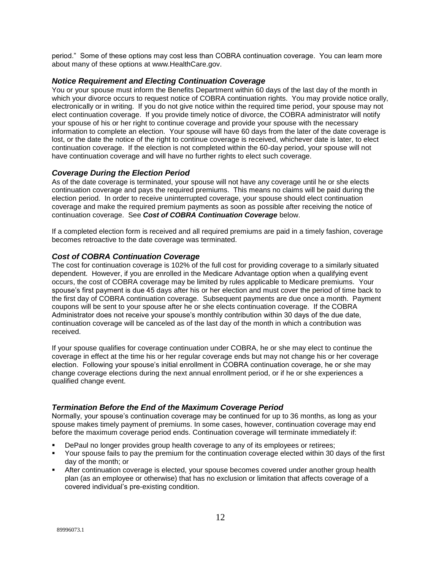period." Some of these options may cost less than COBRA continuation coverage. You can learn more about many of these options at [www.HealthCare.gov.](http://www.healthcare.gov/)

#### *Notice Requirement and Electing Continuation Coverage*

You or your spouse must inform the Benefits Department within 60 days of the last day of the month in which your divorce occurs to request notice of COBRA continuation rights. You may provide notice orally, electronically or in writing. If you do not give notice within the required time period, your spouse may not elect continuation coverage. If you provide timely notice of divorce, the COBRA administrator will notify your spouse of his or her right to continue coverage and provide your spouse with the necessary information to complete an election. Your spouse will have 60 days from the later of the date coverage is lost, or the date the notice of the right to continue coverage is received, whichever date is later, to elect continuation coverage. If the election is not completed within the 60-day period, your spouse will not have continuation coverage and will have no further rights to elect such coverage.

#### *Coverage During the Election Period*

As of the date coverage is terminated, your spouse will not have any coverage until he or she elects continuation coverage and pays the required premiums. This means no claims will be paid during the election period. In order to receive uninterrupted coverage, your spouse should elect continuation coverage and make the required premium payments as soon as possible after receiving the notice of continuation coverage. See *Cost of COBRA Continuation Coverage* below.

If a completed election form is received and all required premiums are paid in a timely fashion, coverage becomes retroactive to the date coverage was terminated.

#### *Cost of COBRA Continuation Coverage*

The cost for continuation coverage is 102% of the full cost for providing coverage to a similarly situated dependent. However, if you are enrolled in the Medicare Advantage option when a qualifying event occurs, the cost of COBRA coverage may be limited by rules applicable to Medicare premiums. Your spouse's first payment is due 45 days after his or her election and must cover the period of time back to the first day of COBRA continuation coverage. Subsequent payments are due once a month. Payment coupons will be sent to your spouse after he or she elects continuation coverage. If the COBRA Administrator does not receive your spouse's monthly contribution within 30 days of the due date, continuation coverage will be canceled as of the last day of the month in which a contribution was received.

If your spouse qualifies for coverage continuation under COBRA, he or she may elect to continue the coverage in effect at the time his or her regular coverage ends but may not change his or her coverage election. Following your spouse's initial enrollment in COBRA continuation coverage, he or she may change coverage elections during the next annual enrollment period, or if he or she experiences a qualified change event.

#### *Termination Before the End of the Maximum Coverage Period*

Normally, your spouse's continuation coverage may be continued for up to 36 months, as long as your spouse makes timely payment of premiums. In some cases, however, continuation coverage may end before the maximum coverage period ends. Continuation coverage will terminate immediately if:

- DePaul no longer provides group health coverage to any of its employees or retirees;
- Your spouse fails to pay the premium for the continuation coverage elected within 30 days of the first day of the month; or
- After continuation coverage is elected, your spouse becomes covered under another group health plan (as an employee or otherwise) that has no exclusion or limitation that affects coverage of a covered individual's pre-existing condition.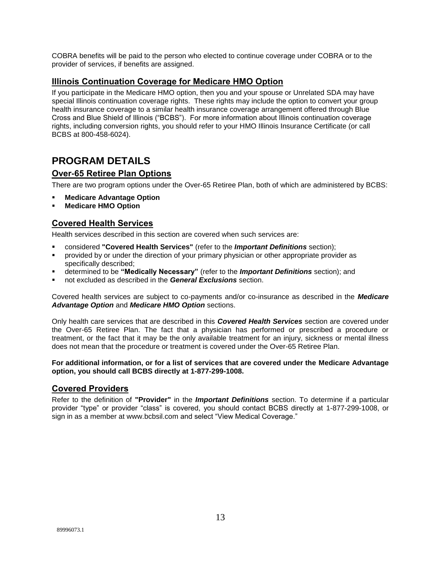COBRA benefits will be paid to the person who elected to continue coverage under COBRA or to the provider of services, if benefits are assigned.

## **Illinois Continuation Coverage for Medicare HMO Option**

If you participate in the Medicare HMO option, then you and your spouse or Unrelated SDA may have special Illinois continuation coverage rights. These rights may include the option to convert your group health insurance coverage to a similar health insurance coverage arrangement offered through Blue Cross and Blue Shield of Illinois ("BCBS"). For more information about Illinois continuation coverage rights, including conversion rights, you should refer to your HMO Illinois Insurance Certificate (or call BCBS at 800-458-6024).

## **PROGRAM DETAILS**

## **Over-65 Retiree Plan Options**

There are two program options under the Over-65 Retiree Plan, both of which are administered by BCBS:

- **Medicare Advantage Option**
- **Medicare HMO Option**

## **Covered Health Services**

Health services described in this section are covered when such services are:

- considered **"Covered Health Services"** (refer to the *Important Definitions* section);
- provided by or under the direction of your primary physician or other appropriate provider as specifically described;
- determined to be **"Medically Necessary"** (refer to the *Important Definitions* section); and
- not excluded as described in the *General Exclusions* section.

Covered health services are subject to co-payments and/or co-insurance as described in the *Medicare Advantage Option* and *Medicare HMO Option* sections.

Only health care services that are described in this *Covered Health Services* section are covered under the Over-65 Retiree Plan. The fact that a physician has performed or prescribed a procedure or treatment, or the fact that it may be the only available treatment for an injury, sickness or mental illness does not mean that the procedure or treatment is covered under the Over-65 Retiree Plan.

#### **For additional information, or for a list of services that are covered under the Medicare Advantage option, you should call BCBS directly at 1-877-299-1008.**

### **Covered Providers**

Refer to the definition of **"Provider"** in the *Important Definitions* section. To determine if a particular provider "type" or provider "class" is covered, you should contact BCBS directly at 1-877-299-1008, or sign in as a member at [www.bcbsil.com](http://www.bcbsil.com/) and select "View Medical Coverage."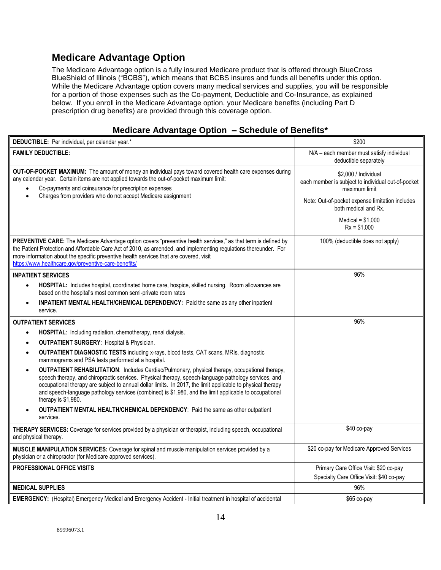## **Medicare Advantage Option**

The Medicare Advantage option is a fully insured Medicare product that is offered through BlueCross BlueShield of Illinois ("BCBS"), which means that BCBS insures and funds all benefits under this option. While the Medicare Advantage option covers many medical services and supplies, you will be responsible for a portion of those expenses such as the Co-payment, Deductible and Co-Insurance, as explained below. If you enroll in the Medicare Advantage option, your Medicare benefits (including Part D prescription drug benefits) are provided through this coverage option.

## **Medicare Advantage Option – Schedule of Benefits\***

| DEDUCTIBLE: Per individual, per calendar year.*                                                                                                                                                                                                                                                                                                                                                                                                                            | \$200                                                                                                                                          |
|----------------------------------------------------------------------------------------------------------------------------------------------------------------------------------------------------------------------------------------------------------------------------------------------------------------------------------------------------------------------------------------------------------------------------------------------------------------------------|------------------------------------------------------------------------------------------------------------------------------------------------|
| <b>FAMILY DEDUCTIBLE:</b>                                                                                                                                                                                                                                                                                                                                                                                                                                                  | N/A - each member must satisfy individual<br>deductible separately                                                                             |
| OUT-OF-POCKET MAXIMUM: The amount of money an individual pays toward covered health care expenses during<br>any calendar year. Certain items are not applied towards the out-of-pocket maximum limit:<br>Co-payments and coinsurance for prescription expenses<br>Charges from providers who do not accept Medicare assignment                                                                                                                                             | \$2,000 / Individual<br>each member is subject to individual out-of-pocket<br>maximum limit<br>Note: Out-of-pocket expense limitation includes |
|                                                                                                                                                                                                                                                                                                                                                                                                                                                                            | both medical and Rx.                                                                                                                           |
|                                                                                                                                                                                                                                                                                                                                                                                                                                                                            | Medical = $$1.000$<br>$Rx = $1,000$                                                                                                            |
| PREVENTIVE CARE: The Medicare Advantage option covers "preventive health services," as that term is defined by<br>the Patient Protection and Affordable Care Act of 2010, as amended, and implementing regulations thereunder. For<br>more information about the specific preventive health services that are covered, visit<br>https://www.healthcare.gov/preventive-care-benefits/                                                                                       | 100% (deductible does not apply)                                                                                                               |
| <b>INPATIENT SERVICES</b>                                                                                                                                                                                                                                                                                                                                                                                                                                                  | 96%                                                                                                                                            |
| HOSPITAL: Includes hospital, coordinated home care, hospice, skilled nursing. Room allowances are<br>$\bullet$<br>based on the hospital's most common semi-private room rates                                                                                                                                                                                                                                                                                              |                                                                                                                                                |
| <b>INPATIENT MENTAL HEALTH/CHEMICAL DEPENDENCY:</b> Paid the same as any other inpatient<br>service.                                                                                                                                                                                                                                                                                                                                                                       |                                                                                                                                                |
| <b>OUTPATIENT SERVICES</b>                                                                                                                                                                                                                                                                                                                                                                                                                                                 | 96%                                                                                                                                            |
| HOSPITAL: Including radiation, chemotherapy, renal dialysis.                                                                                                                                                                                                                                                                                                                                                                                                               |                                                                                                                                                |
| <b>OUTPATIENT SURGERY: Hospital &amp; Physician.</b>                                                                                                                                                                                                                                                                                                                                                                                                                       |                                                                                                                                                |
| <b>OUTPATIENT DIAGNOSTIC TESTS</b> including x-rays, blood tests, CAT scans, MRIs, diagnostic<br>$\bullet$<br>mammograms and PSA tests performed at a hospital.                                                                                                                                                                                                                                                                                                            |                                                                                                                                                |
| <b>OUTPATIENT REHABILITATION:</b> Includes Cardiac/Pulmonary, physical therapy, occupational therapy,<br>$\bullet$<br>speech therapy, and chiropractic services. Physical therapy, speech-language pathology services, and<br>occupational therapy are subject to annual dollar limits. In 2017, the limit applicable to physical therapy<br>and speech-language pathology services (combined) is \$1,980, and the limit applicable to occupational<br>therapy is \$1,980. |                                                                                                                                                |
| OUTPATIENT MENTAL HEALTH/CHEMICAL DEPENDENCY: Paid the same as other outpatient<br>services.                                                                                                                                                                                                                                                                                                                                                                               |                                                                                                                                                |
| THERAPY SERVICES: Coverage for services provided by a physician or therapist, including speech, occupational<br>and physical therapy.                                                                                                                                                                                                                                                                                                                                      | \$40 co-pay                                                                                                                                    |
| MUSCLE MANIPULATION SERVICES: Coverage for spinal and muscle manipulation services provided by a<br>physician or a chiropractor (for Medicare approved services).                                                                                                                                                                                                                                                                                                          | \$20 co-pay for Medicare Approved Services                                                                                                     |
| <b>PROFESSIONAL OFFICE VISITS</b>                                                                                                                                                                                                                                                                                                                                                                                                                                          | Primary Care Office Visit: \$20 co-pay<br>Specialty Care Office Visit: \$40 co-pay                                                             |
| <b>MEDICAL SUPPLIES</b>                                                                                                                                                                                                                                                                                                                                                                                                                                                    | 96%                                                                                                                                            |
| EMERGENCY: (Hospital) Emergency Medical and Emergency Accident - Initial treatment in hospital of accidental                                                                                                                                                                                                                                                                                                                                                               | \$65 co-pay                                                                                                                                    |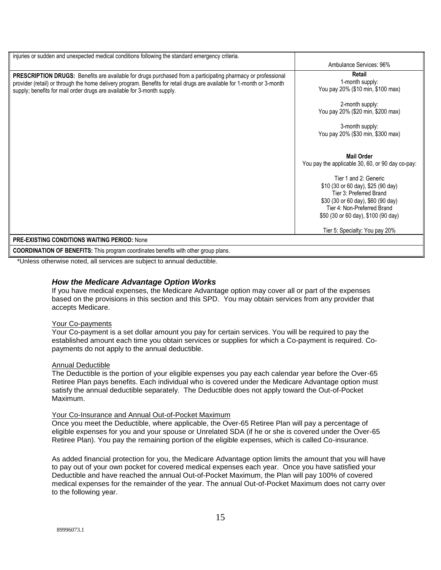| injuries or sudden and unexpected medical conditions following the standard emergency criteria.                                                                                                                                                                                                                          |                                                                                                                                                                                                                                                                             |
|--------------------------------------------------------------------------------------------------------------------------------------------------------------------------------------------------------------------------------------------------------------------------------------------------------------------------|-----------------------------------------------------------------------------------------------------------------------------------------------------------------------------------------------------------------------------------------------------------------------------|
|                                                                                                                                                                                                                                                                                                                          | Ambulance Services: 96%                                                                                                                                                                                                                                                     |
| <b>PRESCRIPTION DRUGS:</b> Benefits are available for drugs purchased from a participating pharmacy or professional<br>provider (retail) or through the home delivery program. Benefits for retail drugs are available for 1-month or 3-month<br>supply; benefits for mail order drugs are available for 3-month supply. | Retail<br>1-month supply:<br>You pay 20% (\$10 min, \$100 max)<br>2-month supply:<br>You pay 20% (\$20 min, \$200 max)<br>3-month supply:<br>You pay 20% (\$30 min, \$300 max)                                                                                              |
|                                                                                                                                                                                                                                                                                                                          | <b>Mail Order</b><br>You pay the applicable 30, 60, or 90 day co-pay:<br>Tier 1 and 2: Generic<br>\$10 (30 or 60 day), \$25 (90 day)<br>Tier 3: Preferred Brand<br>\$30 (30 or 60 day), \$60 (90 day)<br>Tier 4: Non-Preferred Brand<br>\$50 (30 or 60 day), \$100 (90 day) |
|                                                                                                                                                                                                                                                                                                                          | Tier 5: Specialty: You pay 20%                                                                                                                                                                                                                                              |
| <b>PRE-EXISTING CONDITIONS WAITING PERIOD: None</b>                                                                                                                                                                                                                                                                      |                                                                                                                                                                                                                                                                             |
| <b>COORDINATION OF BENEFITS:</b> This program coordinates benefits with other group plans.                                                                                                                                                                                                                               |                                                                                                                                                                                                                                                                             |

\*Unless otherwise noted, all services are subject to annual deductible.

### *How the Medicare Advantage Option Works*

If you have medical expenses, the Medicare Advantage option may cover all or part of the expenses based on the provisions in this section and this SPD. You may obtain services from any provider that accepts Medicare.

#### Your Co-payments

Your Co-payment is a set dollar amount you pay for certain services. You will be required to pay the established amount each time you obtain services or supplies for which a Co-payment is required. Copayments do not apply to the annual deductible.

#### Annual Deductible

The Deductible is the portion of your eligible expenses you pay each calendar year before the Over-65 Retiree Plan pays benefits. Each individual who is covered under the Medicare Advantage option must satisfy the annual deductible separately. The Deductible does not apply toward the Out-of-Pocket Maximum.

#### Your Co-Insurance and Annual Out-of-Pocket Maximum

Once you meet the Deductible, where applicable, the Over-65 Retiree Plan will pay a percentage of eligible expenses for you and your spouse or Unrelated SDA (if he or she is covered under the Over-65 Retiree Plan). You pay the remaining portion of the eligible expenses, which is called Co-insurance.

As added financial protection for you, the Medicare Advantage option limits the amount that you will have to pay out of your own pocket for covered medical expenses each year. Once you have satisfied your Deductible and have reached the annual Out-of-Pocket Maximum, the Plan will pay 100% of covered medical expenses for the remainder of the year. The annual Out-of-Pocket Maximum does not carry over to the following year.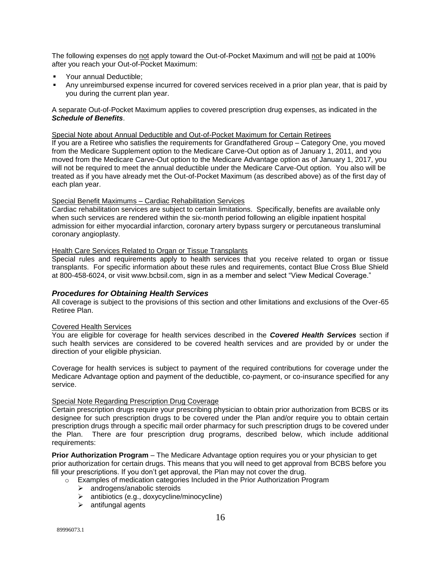The following expenses do not apply toward the Out-of-Pocket Maximum and will not be paid at 100% after you reach your Out-of-Pocket Maximum:

- **Your annual Deductible:**
- Any unreimbursed expense incurred for covered services received in a prior plan year, that is paid by you during the current plan year.

A separate Out-of-Pocket Maximum applies to covered prescription drug expenses, as indicated in the *Schedule of Benefits*.

#### Special Note about Annual Deductible and Out-of-Pocket Maximum for Certain Retirees

If you are a Retiree who satisfies the requirements for Grandfathered Group – Category One, you moved from the Medicare Supplement option to the Medicare Carve-Out option as of January 1, 2011, and you moved from the Medicare Carve-Out option to the Medicare Advantage option as of January 1, 2017, you will not be required to meet the annual deductible under the Medicare Carve-Out option. You also will be treated as if you have already met the Out-of-Pocket Maximum (as described above) as of the first day of each plan year.

#### Special Benefit Maximums – Cardiac Rehabilitation Services

Cardiac rehabilitation services are subject to certain limitations. Specifically, benefits are available only when such services are rendered within the six-month period following an eligible inpatient hospital admission for either myocardial infarction, coronary artery bypass surgery or percutaneous transluminal coronary angioplasty.

#### Health Care Services Related to Organ or Tissue Transplants

Special rules and requirements apply to health services that you receive related to organ or tissue transplants. For specific information about these rules and requirements, contact Blue Cross Blue Shield at 800-458-6024, or visit [www.bcbsil.com,](http://www.bcbsil.com/) sign in as a member and select "View Medical Coverage."

#### *Procedures for Obtaining Health Services*

All coverage is subject to the provisions of this section and other limitations and exclusions of the Over-65 Retiree Plan.

#### Covered Health Services

You are eligible for coverage for health services described in the *Covered Health Services* section if such health services are considered to be covered health services and are provided by or under the direction of your eligible physician.

Coverage for health services is subject to payment of the required contributions for coverage under the Medicare Advantage option and payment of the deductible, co-payment, or co-insurance specified for any service.

#### Special Note Regarding Prescription Drug Coverage

Certain prescription drugs require your prescribing physician to obtain prior authorization from BCBS or its designee for such prescription drugs to be covered under the Plan and/or require you to obtain certain prescription drugs through a specific mail order pharmacy for such prescription drugs to be covered under the Plan. There are four prescription drug programs, described below, which include additional requirements:

**Prior Authorization Program** – The Medicare Advantage option requires you or your physician to get prior authorization for certain drugs. This means that you will need to get approval from BCBS before you fill your prescriptions. If you don't get approval, the Plan may not cover the drug.

- o Examples of medication categories Included in the Prior Authorization Program
	- > androgens/anabolic steroids
	- $\triangleright$  antibiotics (e.g., doxycycline/minocycline)
	- $\triangleright$  antifungal agents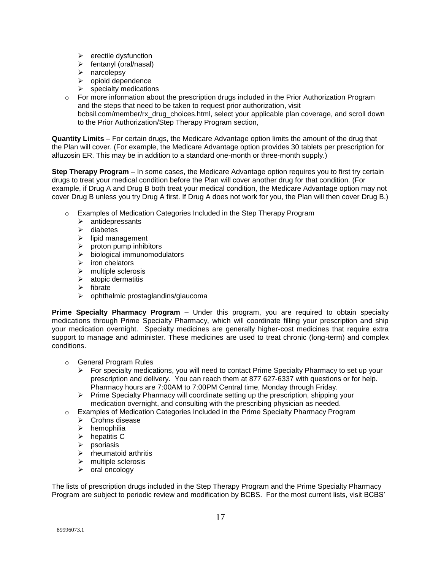- $\triangleright$  erectile dysfunction
- $\triangleright$  fentanyl (oral/nasal)
- > narcolepsy
- $\triangleright$  opioid dependence
- $\triangleright$  specialty medications
- $\circ$  For more information about the prescription drugs included in the Prior Authorization Program and the steps that need to be taken to request prior authorization, visit bcbsil.com/member/rx\_drug\_choices.html, select your applicable plan coverage, and scroll down to the Prior Authorization/Step Therapy Program section,

**Quantity Limits** – For certain drugs, the Medicare Advantage option limits the amount of the drug that the Plan will cover. (For example, the Medicare Advantage option provides 30 tablets per prescription for alfuzosin ER. This may be in addition to a standard one-month or three-month supply.)

**Step Therapy Program** – In some cases, the Medicare Advantage option requires you to first try certain drugs to treat your medical condition before the Plan will cover another drug for that condition. (For example, if Drug A and Drug B both treat your medical condition, the Medicare Advantage option may not cover Drug B unless you try Drug A first. If Drug A does not work for you, the Plan will then cover Drug B.)

- o Examples of Medication Categories Included in the Step Therapy Program
	- $\triangleright$  antidepressants
	- $\triangleright$  diabetes
	- $\triangleright$  lipid management
	- $\triangleright$  proton pump inhibitors
	- $\triangleright$  biological immunomodulators
	- $\triangleright$  iron chelators
	- $\triangleright$  multiple sclerosis
	- $\triangleright$  atopic dermatitis
	- $\triangleright$  fibrate
	- $\triangleright$  ophthalmic prostaglandins/glaucoma

**Prime Specialty Pharmacy Program** – Under this program, you are required to obtain specialty medications through Prime Specialty Pharmacy, which will coordinate filling your prescription and ship your medication overnight. Specialty medicines are generally higher-cost medicines that require extra support to manage and administer. These medicines are used to treat chronic (long-term) and complex conditions.

- o General Program Rules
	- $\triangleright$  For specialty medications, you will need to contact Prime Specialty Pharmacy to set up your prescription and delivery. You can reach them at 877 627-6337 with questions or for help. Pharmacy hours are 7:00AM to 7:00PM Central time, Monday through Friday.
	- $\triangleright$  Prime Specialty Pharmacy will coordinate setting up the prescription, shipping your medication overnight, and consulting with the prescribing physician as needed.
- o Examples of Medication Categories Included in the Prime Specialty Pharmacy Program
	- $\triangleright$  Crohns disease
	- $\triangleright$  hemophilia
	- $\triangleright$  hepatitis C
	- $\triangleright$  psoriasis
	- $\triangleright$  rheumatoid arthritis
	- $\triangleright$  multiple sclerosis
	- $\triangleright$  oral oncology

The lists of prescription drugs included in the Step Therapy Program and the Prime Specialty Pharmacy Program are subject to periodic review and modification by BCBS. For the most current lists, visit BCBS'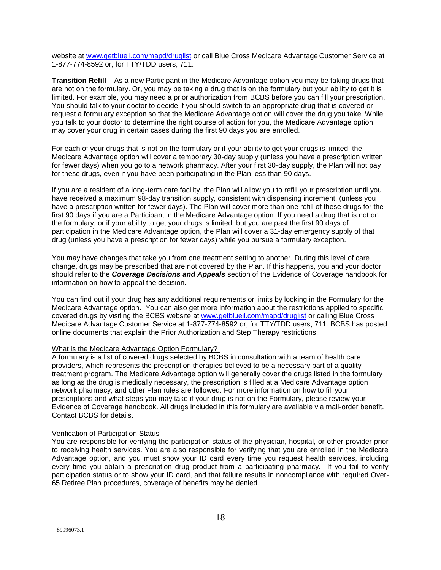website at [www.getblueil.com/mapd/druglist](http://www.getblueil.com/mapd/druglist) or call Blue Cross Medicare Advantage Customer Service at 1-877-774-8592 or, for TTY/TDD users, 711.

**Transition Refill** – As a new Participant in the Medicare Advantage option you may be taking drugs that are not on the formulary. Or, you may be taking a drug that is on the formulary but your ability to get it is limited. For example, you may need a prior authorization from BCBS before you can fill your prescription. You should talk to your doctor to decide if you should switch to an appropriate drug that is covered or request a formulary exception so that the Medicare Advantage option will cover the drug you take. While you talk to your doctor to determine the right course of action for you, the Medicare Advantage option may cover your drug in certain cases during the first 90 days you are enrolled.

For each of your drugs that is not on the formulary or if your ability to get your drugs is limited, the Medicare Advantage option will cover a temporary 30-day supply (unless you have a prescription written for fewer days) when you go to a network pharmacy. After your first 30-day supply, the Plan will not pay for these drugs, even if you have been participating in the Plan less than 90 days.

If you are a resident of a long-term care facility, the Plan will allow you to refill your prescription until you have received a maximum 98-day transition supply, consistent with dispensing increment, (unless you have a prescription written for fewer days). The Plan will cover more than one refill of these drugs for the first 90 days if you are a Participant in the Medicare Advantage option. If you need a drug that is not on the formulary, or if your ability to get your drugs is limited, but you are past the first 90 days of participation in the Medicare Advantage option, the Plan will cover a 31-day emergency supply of that drug (unless you have a prescription for fewer days) while you pursue a formulary exception.

You may have changes that take you from one treatment setting to another. During this level of care change, drugs may be prescribed that are not covered by the Plan. If this happens, you and your doctor should refer to the *Coverage Decisions and Appeals* section of the Evidence of Coverage handbook for information on how to appeal the decision.

You can find out if your drug has any additional requirements or limits by looking in the Formulary for the Medicare Advantage option. You can also get more information about the restrictions applied to specific covered drugs by visiting the BCBS website at [www.getblueil.com/mapd/druglist](http://www.getblueil.com/mapd/druglist) or calling Blue Cross Medicare Advantage Customer Service at 1-877-774-8592 or, for TTY/TDD users, 711. BCBS has posted online documents that explain the Prior Authorization and Step Therapy restrictions.

#### What is the Medicare Advantage Option Formulary?

A formulary is a list of covered drugs selected by BCBS in consultation with a team of health care providers, which represents the prescription therapies believed to be a necessary part of a quality treatment program. The Medicare Advantage option will generally cover the drugs listed in the formulary as long as the drug is medically necessary, the prescription is filled at a Medicare Advantage option network pharmacy, and other Plan rules are followed. For more information on how to fill your prescriptions and what steps you may take if your drug is not on the Formulary, please review your Evidence of Coverage handbook. All drugs included in this formulary are available via mail-order benefit. Contact BCBS for details.

#### Verification of Participation Status

You are responsible for verifying the participation status of the physician, hospital, or other provider prior to receiving health services. You are also responsible for verifying that you are enrolled in the Medicare Advantage option, and you must show your ID card every time you request health services, including every time you obtain a prescription drug product from a participating pharmacy. If you fail to verify participation status or to show your ID card, and that failure results in noncompliance with required Over-65 Retiree Plan procedures, coverage of benefits may be denied.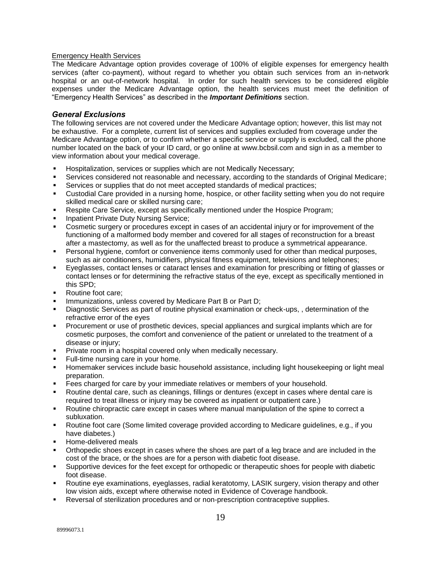#### Emergency Health Services

The Medicare Advantage option provides coverage of 100% of eligible expenses for emergency health services (after co-payment), without regard to whether you obtain such services from an in-network hospital or an out-of-network hospital. In order for such health services to be considered eligible expenses under the Medicare Advantage option, the health services must meet the definition of "Emergency Health Services" as described in the *Important Definitions* section.

#### *General Exclusions*

The following services are not covered under the Medicare Advantage option; however, this list may not be exhaustive. For a complete, current list of services and supplies excluded from coverage under the Medicare Advantage option, or to confirm whether a specific service or supply is excluded, call the phone number located on the back of your ID card, or go online at [www.bcbsil.com](http://www.bcbsil.com/) and sign in as a member to view information about your medical coverage.

- **Hospitalization, services or supplies which are not Medically Necessary;**
- Services considered not reasonable and necessary, according to the standards of Original Medicare;
- Services or supplies that do not meet accepted standards of medical practices;
- Custodial Care provided in a nursing home, hospice, or other facility setting when you do not require skilled medical care or skilled nursing care;
- Respite Care Service, except as specifically mentioned under the Hospice Program;
- **Inpatient Private Duty Nursing Service;**
- Cosmetic surgery or procedures except in cases of an accidental injury or for improvement of the functioning of a malformed body member and covered for all stages of reconstruction for a breast after a mastectomy, as well as for the unaffected breast to produce a symmetrical appearance.
- **Personal hygiene, comfort or convenience items commonly used for other than medical purposes,** such as air conditioners, humidifiers, physical fitness equipment, televisions and telephones;
- Eyeglasses, contact lenses or cataract lenses and examination for prescribing or fitting of glasses or contact lenses or for determining the refractive status of the eye, except as specifically mentioned in this SPD;
- Routine foot care;
- Immunizations, unless covered by Medicare Part B or Part D;
- Diagnostic Services as part of routine physical examination or check-ups, , determination of the refractive error of the eyes
- Procurement or use of prosthetic devices, special appliances and surgical implants which are for cosmetic purposes, the comfort and convenience of the patient or unrelated to the treatment of a disease or injury;
- **Private room in a hospital covered only when medically necessary.**
- Full-time nursing care in your home.
- Homemaker services include basic household assistance, including light housekeeping or light meal preparation.
- Fees charged for care by your immediate relatives or members of your household.
- Routine dental care, such as cleanings, fillings or dentures (except in cases where dental care is required to treat illness or injury may be covered as inpatient or outpatient care.)
- Routine chiropractic care except in cases where manual manipulation of the spine to correct a subluxation.
- Routine foot care (Some limited coverage provided according to Medicare guidelines, e.g., if you have diabetes.)
- Home-delivered meals
- Orthopedic shoes except in cases where the shoes are part of a leg brace and are included in the cost of the brace, or the shoes are for a person with diabetic foot disease.
- Supportive devices for the feet except for orthopedic or therapeutic shoes for people with diabetic foot disease.
- Routine eye examinations, eyeglasses, radial keratotomy, LASIK surgery, vision therapy and other low vision aids, except where otherwise noted in Evidence of Coverage handbook.
- Reversal of sterilization procedures and or non-prescription contraceptive supplies.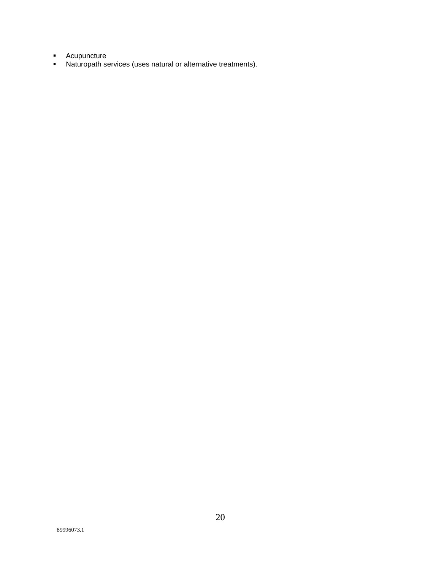- **Acupuncture**
- Naturopath services (uses natural or alternative treatments).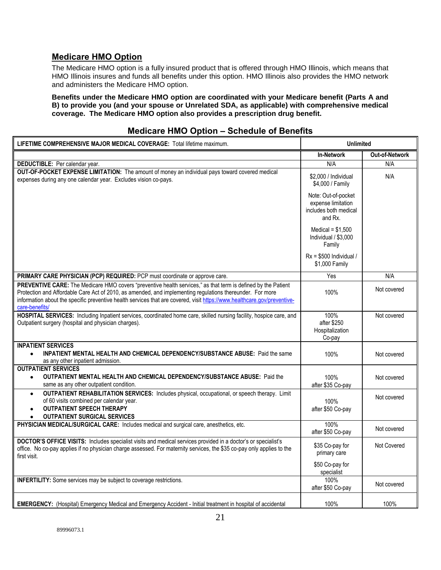## **Medicare HMO Option**

The Medicare HMO option is a fully insured product that is offered through HMO Illinois, which means that HMO Illinois insures and funds all benefits under this option. HMO Illinois also provides the HMO network and administers the Medicare HMO option.

**Benefits under the Medicare HMO option are coordinated with your Medicare benefit (Parts A and B) to provide you (and your spouse or Unrelated SDA, as applicable) with comprehensive medical coverage. The Medicare HMO option also provides a prescription drug benefit.**

| LIFETIME COMPREHENSIVE MAJOR MEDICAL COVERAGE: Total lifetime maximum.                                                                                                                                                                                                                                                                                                   | <b>Unlimited</b>                                                              |                |
|--------------------------------------------------------------------------------------------------------------------------------------------------------------------------------------------------------------------------------------------------------------------------------------------------------------------------------------------------------------------------|-------------------------------------------------------------------------------|----------------|
|                                                                                                                                                                                                                                                                                                                                                                          | <b>In-Network</b>                                                             | Out-of-Network |
| DEDUCTIBLE: Per calendar year.                                                                                                                                                                                                                                                                                                                                           | N/A                                                                           | N/A            |
| OUT-OF-POCKET EXPENSE LIMITATION: The amount of money an individual pays toward covered medical<br>expenses during any one calendar year. Excludes vision co-pays.                                                                                                                                                                                                       | \$2,000 / Individual<br>\$4,000 / Family                                      | N/A            |
|                                                                                                                                                                                                                                                                                                                                                                          | Note: Out-of-pocket<br>expense limitation<br>includes both medical<br>and Rx. |                |
|                                                                                                                                                                                                                                                                                                                                                                          | Medical = $$1,500$<br>Individual / \$3,000<br>Family                          |                |
|                                                                                                                                                                                                                                                                                                                                                                          | $Rx = $500$ Individual /<br>\$1,000 Family                                    |                |
| PRIMARY CARE PHYSICIAN (PCP) REQUIRED: PCP must coordinate or approve care.                                                                                                                                                                                                                                                                                              | Yes                                                                           | N/A            |
| PREVENTIVE CARE: The Medicare HMO covers "preventive health services," as that term is defined by the Patient<br>Protection and Affordable Care Act of 2010, as amended, and implementing regulations thereunder. For more<br>information about the specific preventive health services that are covered, visit https://www.healthcare.gov/preventive-<br>care-benefits/ | 100%                                                                          | Not covered    |
| HOSPITAL SERVICES: Including Inpatient services, coordinated home care, skilled nursing facility, hospice care, and<br>Outpatient surgery (hospital and physician charges).                                                                                                                                                                                              | 100%<br>after \$250<br>Hospitalization<br>Co-pay                              | Not covered    |
| <b>INPATIENT SERVICES</b><br><b>INPATIENT MENTAL HEALTH AND CHEMICAL DEPENDENCY/SUBSTANCE ABUSE:</b> Paid the same<br>$\bullet$<br>as any other inpatient admission.                                                                                                                                                                                                     | 100%                                                                          | Not covered    |
| <b>OUTPATIENT SERVICES</b><br><b>OUTPATIENT MENTAL HEALTH AND CHEMICAL DEPENDENCY/SUBSTANCE ABUSE: Paid the</b><br>$\bullet$<br>same as any other outpatient condition.                                                                                                                                                                                                  | 100%<br>after \$35 Co-pay                                                     | Not covered    |
| OUTPATIENT REHABILITATION SERVICES: Includes physical, occupational, or speech therapy. Limit<br>$\bullet$<br>of 60 visits combined per calendar year.<br><b>OUTPATIENT SPEECH THERAPY</b><br><b>OUTPATIENT SURGICAL SERVICES</b>                                                                                                                                        | 100%<br>after \$50 Co-pay                                                     | Not covered    |
| PHYSICIAN MEDICAL/SURGICAL CARE: Includes medical and surgical care, anesthetics, etc.                                                                                                                                                                                                                                                                                   | 100%<br>after \$50 Co-pay                                                     | Not covered    |
| DOCTOR'S OFFICE VISITS: Includes specialist visits and medical services provided in a doctor's or specialist's<br>office. No co-pay applies if no physician charge assessed. For maternity services, the \$35 co-pay only applies to the<br>first visit.                                                                                                                 | \$35 Co-pay for<br>primary care                                               | Not Covered    |
|                                                                                                                                                                                                                                                                                                                                                                          | \$50 Co-pay for<br>specialist                                                 |                |
| <b>INFERTILITY:</b> Some services may be subject to coverage restrictions.                                                                                                                                                                                                                                                                                               | 100%<br>after \$50 Co-pay                                                     | Not covered    |
| EMERGENCY: (Hospital) Emergency Medical and Emergency Accident - Initial treatment in hospital of accidental                                                                                                                                                                                                                                                             | 100%                                                                          | 100%           |

## **Medicare HMO Option – Schedule of Benefits**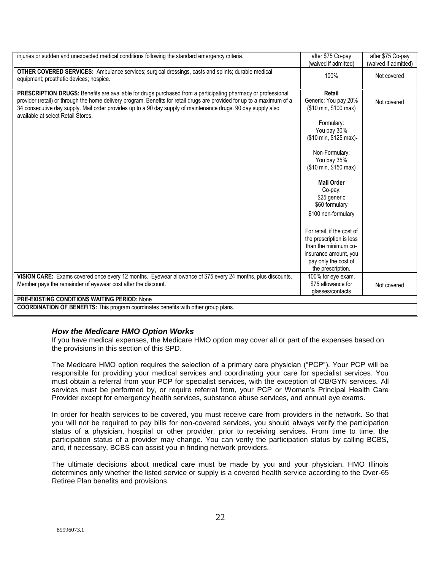| injuries or sudden and unexpected medical conditions following the standard emergency criteria.                                                                                                                                                                                                                                                                                                | after \$75 Co-pay<br>(waived if admitted)                                                                                                                                                                                                                                                                                                                                                                                | after \$75 Co-pay<br>(waived if admitted) |
|------------------------------------------------------------------------------------------------------------------------------------------------------------------------------------------------------------------------------------------------------------------------------------------------------------------------------------------------------------------------------------------------|--------------------------------------------------------------------------------------------------------------------------------------------------------------------------------------------------------------------------------------------------------------------------------------------------------------------------------------------------------------------------------------------------------------------------|-------------------------------------------|
| OTHER COVERED SERVICES: Ambulance services; surgical dressings, casts and splints; durable medical<br>equipment; prosthetic devices; hospice.                                                                                                                                                                                                                                                  | 100%                                                                                                                                                                                                                                                                                                                                                                                                                     | Not covered                               |
| PRESCRIPTION DRUGS: Benefits are available for drugs purchased from a participating pharmacy or professional<br>provider (retail) or through the home delivery program. Benefits for retail drugs are provided for up to a maximum of a<br>34 consecutive day supply. Mail order provides up to a 90 day supply of maintenance drugs. 90 day supply also<br>available at select Retail Stores. | Retail<br>Generic: You pay 20%<br>(\$10 min, \$100 max)<br>Formulary:<br>You pay 30%<br>(\$10 min, \$125 max)<br>Non-Formulary:<br>You pay 35%<br>(\$10 min, \$150 max)<br><b>Mail Order</b><br>Co-pay:<br>\$25 generic<br>\$60 formulary<br>\$100 non-formulary<br>For retail, if the cost of<br>the prescription is less<br>than the minimum co-<br>insurance amount, you<br>pay only the cost of<br>the prescription. | Not covered                               |
| VISION CARE: Exams covered once every 12 months. Eyewear allowance of \$75 every 24 months, plus discounts.<br>Member pays the remainder of eyewear cost after the discount.                                                                                                                                                                                                                   | 100% for eye exam,<br>\$75 allowance for<br>glasses/contacts                                                                                                                                                                                                                                                                                                                                                             | Not covered                               |
| <b>PRE-EXISTING CONDITIONS WAITING PERIOD: None</b><br><b>COORDINATION OF BENEFITS:</b> This program coordinates benefits with other group plans.                                                                                                                                                                                                                                              |                                                                                                                                                                                                                                                                                                                                                                                                                          |                                           |
|                                                                                                                                                                                                                                                                                                                                                                                                |                                                                                                                                                                                                                                                                                                                                                                                                                          |                                           |

#### *How the Medicare HMO Option Works*

If you have medical expenses, the Medicare HMO option may cover all or part of the expenses based on the provisions in this section of this SPD.

The Medicare HMO option requires the selection of a primary care physician ("PCP"). Your PCP will be responsible for providing your medical services and coordinating your care for specialist services. You must obtain a referral from your PCP for specialist services, with the exception of OB/GYN services. All services must be performed by, or require referral from, your PCP or Woman's Principal Health Care Provider except for emergency health services, substance abuse services, and annual eye exams.

In order for health services to be covered, you must receive care from providers in the network. So that you will not be required to pay bills for non-covered services, you should always verify the participation status of a physician, hospital or other provider, prior to receiving services. From time to time, the participation status of a provider may change. You can verify the participation status by calling BCBS, and, if necessary, BCBS can assist you in finding network providers.

The ultimate decisions about medical care must be made by you and your physician. HMO Illinois determines only whether the listed service or supply is a covered health service according to the Over-65 Retiree Plan benefits and provisions.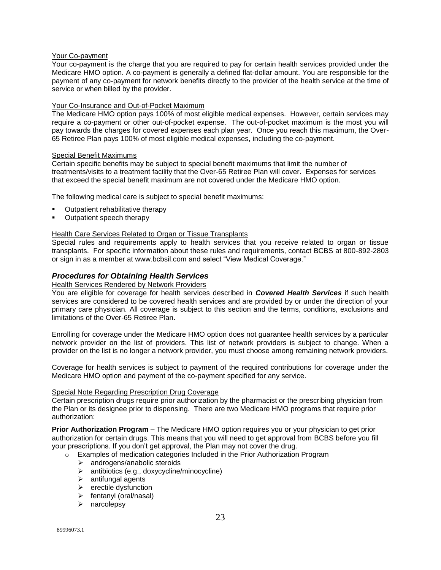#### Your Co-payment

Your co-payment is the charge that you are required to pay for certain health services provided under the Medicare HMO option. A co-payment is generally a defined flat-dollar amount. You are responsible for the payment of any co-payment for network benefits directly to the provider of the health service at the time of service or when billed by the provider.

#### Your Co-Insurance and Out-of-Pocket Maximum

The Medicare HMO option pays 100% of most eligible medical expenses. However, certain services may require a co-payment or other out-of-pocket expense. The out-of-pocket maximum is the most you will pay towards the charges for covered expenses each plan year. Once you reach this maximum, the Over-65 Retiree Plan pays 100% of most eligible medical expenses, including the co-payment.

#### Special Benefit Maximums

Certain specific benefits may be subject to special benefit maximums that limit the number of treatments/visits to a treatment facility that the Over-65 Retiree Plan will cover. Expenses for services that exceed the special benefit maximum are not covered under the Medicare HMO option.

The following medical care is subject to special benefit maximums:

- Outpatient rehabilitative therapy
- Outpatient speech therapy

#### Health Care Services Related to Organ or Tissue Transplants

Special rules and requirements apply to health services that you receive related to organ or tissue transplants. For specific information about these rules and requirements, contact BCBS at 800-892-2803 or sign in as a member at [www.bcbsil.com](http://www.bcbsil.com/) and select "View Medical Coverage."

#### *Procedures for Obtaining Health Services*

#### Health Services Rendered by Network Providers

You are eligible for coverage for health services described in *Covered Health Services* if such health services are considered to be covered health services and are provided by or under the direction of your primary care physician. All coverage is subject to this section and the terms, conditions, exclusions and limitations of the Over-65 Retiree Plan.

Enrolling for coverage under the Medicare HMO option does not guarantee health services by a particular network provider on the list of providers. This list of network providers is subject to change. When a provider on the list is no longer a network provider, you must choose among remaining network providers.

Coverage for health services is subject to payment of the required contributions for coverage under the Medicare HMO option and payment of the co-payment specified for any service.

#### Special Note Regarding Prescription Drug Coverage

Certain prescription drugs require prior authorization by the pharmacist or the prescribing physician from the Plan or its designee prior to dispensing. There are two Medicare HMO programs that require prior authorization:

**Prior Authorization Program** – The Medicare HMO option requires you or your physician to get prior authorization for certain drugs. This means that you will need to get approval from BCBS before you fill your prescriptions. If you don't get approval, the Plan may not cover the drug.

- o Examples of medication categories Included in the Prior Authorization Program
	- > androgens/anabolic steroids
	- antibiotics (e.g., doxycycline/minocycline)
	- > antifungal agents
	- $\blacktriangleright$  erectile dysfunction
	- $\triangleright$  fentanyl (oral/nasal)
	- $\triangleright$  narcolepsy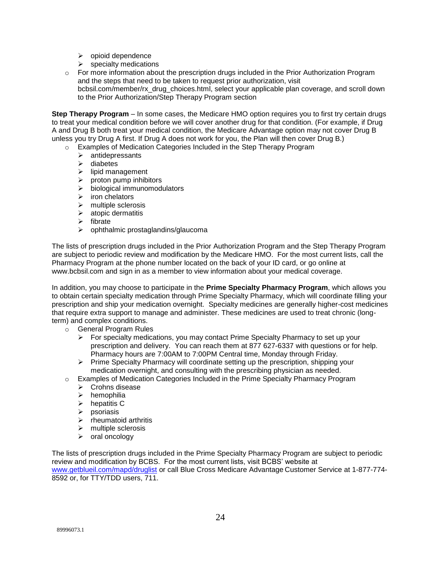- $\triangleright$  opioid dependence
- $\triangleright$  specialty medications
- $\circ$  For more information about the prescription drugs included in the Prior Authorization Program and the steps that need to be taken to request prior authorization, visit bcbsil.com/member/rx\_drug\_choices.html, select your applicable plan coverage, and scroll down to the Prior Authorization/Step Therapy Program section

**Step Therapy Program** – In some cases, the Medicare HMO option requires you to first try certain drugs to treat your medical condition before we will cover another drug for that condition. (For example, if Drug A and Drug B both treat your medical condition, the Medicare Advantage option may not cover Drug B unless you try Drug A first. If Drug A does not work for you, the Plan will then cover Drug B.)

- o Examples of Medication Categories Included in the Step Therapy Program
	- $\triangleright$  antidepressants
	- $\triangleright$  diabetes
	- $\triangleright$  lipid management
	- $\triangleright$  proton pump inhibitors
	- $\triangleright$  biological immunomodulators
	- $\triangleright$  iron chelators
	- $\triangleright$  multiple sclerosis
	- $\triangleright$  atopic dermatitis
	- $\triangleright$  fibrate
	- $\triangleright$  ophthalmic prostaglandins/glaucoma

The lists of prescription drugs included in the Prior Authorization Program and the Step Therapy Program are subject to periodic review and modification by the Medicare HMO. For the most current lists, call the Pharmacy Program at the phone number located on the back of your ID card, or go online at [www.bcbsil.com](http://www.bcbsil.com/) and sign in as a member to view information about your medical coverage.

In addition, you may choose to participate in the **Prime Specialty Pharmacy Program**, which allows you to obtain certain specialty medication through Prime Specialty Pharmacy, which will coordinate filling your prescription and ship your medication overnight. Specialty medicines are generally higher-cost medicines that require extra support to manage and administer. These medicines are used to treat chronic (longterm) and complex conditions.

- o General Program Rules
	- $\triangleright$  For specialty medications, you may contact Prime Specialty Pharmacy to set up your prescription and delivery. You can reach them at 877 627-6337 with questions or for help. Pharmacy hours are 7:00AM to 7:00PM Central time, Monday through Friday.
	- $\triangleright$  Prime Specialty Pharmacy will coordinate setting up the prescription, shipping your medication overnight, and consulting with the prescribing physician as needed.
- o Examples of Medication Categories Included in the Prime Specialty Pharmacy Program
	- **▶** Crohns disease
	- $\triangleright$  hemophilia
	- $\triangleright$  hepatitis C
	- $\triangleright$  psoriasis
	- $\triangleright$  rheumatoid arthritis
	- $\triangleright$  multiple sclerosis
	- $\triangleright$  oral oncology

The lists of prescription drugs included in the Prime Specialty Pharmacy Program are subject to periodic review and modification by BCBS. For the most current lists, visit BCBS' website at [www.getblueil.com/mapd/druglist](http://www.getblueil.com/mapd/druglist) or call Blue Cross Medicare Advantage Customer Service at 1-877-774- 8592 or, for TTY/TDD users, 711.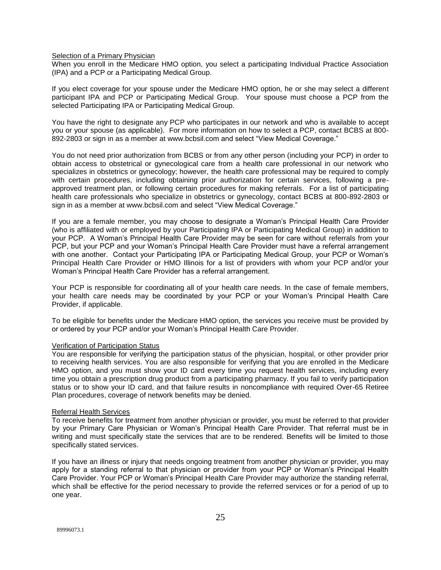#### Selection of a Primary Physician

When you enroll in the Medicare HMO option, you select a participating Individual Practice Association (IPA) and a PCP or a Participating Medical Group.

If you elect coverage for your spouse under the Medicare HMO option, he or she may select a different participant IPA and PCP or Participating Medical Group. Your spouse must choose a PCP from the selected Participating IPA or Participating Medical Group.

You have the right to designate any PCP who participates in our network and who is available to accept you or your spouse (as applicable). For more information on how to select a PCP, contact BCBS at 800- 892-2803 or sign in as a member at [www.bcbsil.com](http://www.bcbsil.com/) and select "View Medical Coverage."

You do not need prior authorization from BCBS or from any other person (including your PCP) in order to obtain access to obstetrical or gynecological care from a health care professional in our network who specializes in obstetrics or gynecology; however, the health care professional may be required to comply with certain procedures, including obtaining prior authorization for certain services, following a preapproved treatment plan, or following certain procedures for making referrals. For a list of participating health care professionals who specialize in obstetrics or gynecology, contact BCBS at 800-892-2803 or sign in as a member at [www.bcbsil.com](http://www.bcbsil.com/) and select "View Medical Coverage."

If you are a female member, you may choose to designate a Woman's Principal Health Care Provider (who is affiliated with or employed by your Participating IPA or Participating Medical Group) in addition to your PCP. A Woman's Principal Health Care Provider may be seen for care without referrals from your PCP, but your PCP and your Woman's Principal Health Care Provider must have a referral arrangement with one another. Contact your Participating IPA or Participating Medical Group, your PCP or Woman's Principal Health Care Provider or HMO Illinois for a list of providers with whom your PCP and/or your Woman's Principal Health Care Provider has a referral arrangement.

Your PCP is responsible for coordinating all of your health care needs. In the case of female members, your health care needs may be coordinated by your PCP or your Woman's Principal Health Care Provider, if applicable.

To be eligible for benefits under the Medicare HMO option, the services you receive must be provided by or ordered by your PCP and/or your Woman's Principal Health Care Provider.

#### Verification of Participation Status

You are responsible for verifying the participation status of the physician, hospital, or other provider prior to receiving health services. You are also responsible for verifying that you are enrolled in the Medicare HMO option, and you must show your ID card every time you request health services, including every time you obtain a prescription drug product from a participating pharmacy. If you fail to verify participation status or to show your ID card, and that failure results in noncompliance with required Over-65 Retiree Plan procedures, coverage of network benefits may be denied.

#### Referral Health Services

To receive benefits for treatment from another physician or provider, you must be referred to that provider by your Primary Care Physician or Woman's Principal Health Care Provider. That referral must be in writing and must specifically state the services that are to be rendered. Benefits will be limited to those specifically stated services.

If you have an illness or injury that needs ongoing treatment from another physician or provider, you may apply for a standing referral to that physician or provider from your PCP or Woman's Principal Health Care Provider. Your PCP or Woman's Principal Health Care Provider may authorize the standing referral, which shall be effective for the period necessary to provide the referred services or for a period of up to one year.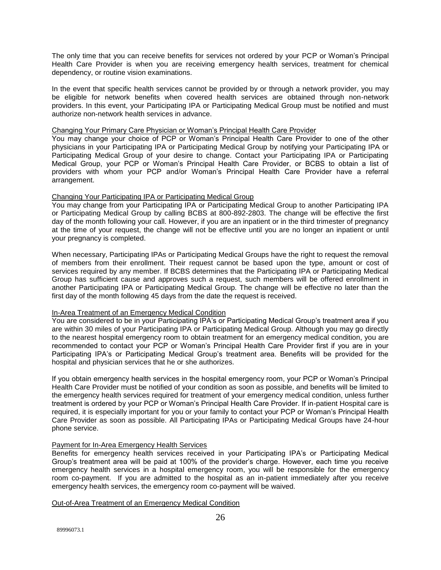The only time that you can receive benefits for services not ordered by your PCP or Woman's Principal Health Care Provider is when you are receiving emergency health services, treatment for chemical dependency, or routine vision examinations.

In the event that specific health services cannot be provided by or through a network provider, you may be eligible for network benefits when covered health services are obtained through non-network providers. In this event, your Participating IPA or Participating Medical Group must be notified and must authorize non-network health services in advance.

#### Changing Your Primary Care Physician or Woman's Principal Health Care Provider

You may change your choice of PCP or Woman's Principal Health Care Provider to one of the other physicians in your Participating IPA or Participating Medical Group by notifying your Participating IPA or Participating Medical Group of your desire to change. Contact your Participating IPA or Participating Medical Group, your PCP or Woman's Principal Health Care Provider, or BCBS to obtain a list of providers with whom your PCP and/or Woman's Principal Health Care Provider have a referral arrangement.

#### Changing Your Participating IPA or Participating Medical Group

You may change from your Participating IPA or Participating Medical Group to another Participating IPA or Participating Medical Group by calling BCBS at 800-892-2803. The change will be effective the first day of the month following your call. However, if you are an inpatient or in the third trimester of pregnancy at the time of your request, the change will not be effective until you are no longer an inpatient or until your pregnancy is completed.

When necessary, Participating IPAs or Participating Medical Groups have the right to request the removal of members from their enrollment. Their request cannot be based upon the type, amount or cost of services required by any member. If BCBS determines that the Participating IPA or Participating Medical Group has sufficient cause and approves such a request, such members will be offered enrollment in another Participating IPA or Participating Medical Group. The change will be effective no later than the first day of the month following 45 days from the date the request is received.

#### In-Area Treatment of an Emergency Medical Condition

You are considered to be in your Participating IPA's or Participating Medical Group's treatment area if you are within 30 miles of your Participating IPA or Participating Medical Group. Although you may go directly to the nearest hospital emergency room to obtain treatment for an emergency medical condition, you are recommended to contact your PCP or Woman's Principal Health Care Provider first if you are in your Participating IPA's or Participating Medical Group's treatment area. Benefits will be provided for the hospital and physician services that he or she authorizes.

If you obtain emergency health services in the hospital emergency room, your PCP or Woman's Principal Health Care Provider must be notified of your condition as soon as possible, and benefits will be limited to the emergency health services required for treatment of your emergency medical condition, unless further treatment is ordered by your PCP or Woman's Principal Health Care Provider. If in-patient Hospital care is required, it is especially important for you or your family to contact your PCP or Woman's Principal Health Care Provider as soon as possible. All Participating IPAs or Participating Medical Groups have 24-hour phone service.

#### Payment for In-Area Emergency Health Services

Benefits for emergency health services received in your Participating IPA's or Participating Medical Group's treatment area will be paid at 100% of the provider's charge. However, each time you receive emergency health services in a hospital emergency room, you will be responsible for the emergency room co-payment. If you are admitted to the hospital as an in-patient immediately after you receive emergency health services, the emergency room co-payment will be waived.

#### Out-of-Area Treatment of an Emergency Medical Condition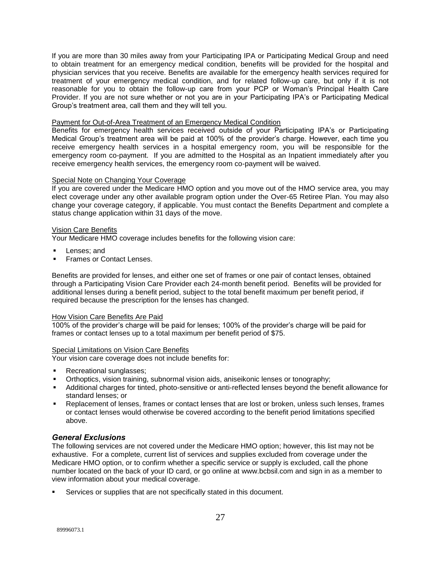If you are more than 30 miles away from your Participating IPA or Participating Medical Group and need to obtain treatment for an emergency medical condition, benefits will be provided for the hospital and physician services that you receive. Benefits are available for the emergency health services required for treatment of your emergency medical condition, and for related follow-up care, but only if it is not reasonable for you to obtain the follow-up care from your PCP or Woman's Principal Health Care Provider. If you are not sure whether or not you are in your Participating IPA's or Participating Medical Group's treatment area, call them and they will tell you.

#### Payment for Out-of-Area Treatment of an Emergency Medical Condition

Benefits for emergency health services received outside of your Participating IPA's or Participating Medical Group's treatment area will be paid at 100% of the provider's charge. However, each time you receive emergency health services in a hospital emergency room, you will be responsible for the emergency room co-payment. If you are admitted to the Hospital as an Inpatient immediately after you receive emergency health services, the emergency room co-payment will be waived.

#### Special Note on Changing Your Coverage

If you are covered under the Medicare HMO option and you move out of the HMO service area, you may elect coverage under any other available program option under the Over-65 Retiree Plan. You may also change your coverage category, if applicable. You must contact the Benefits Department and complete a status change application within 31 days of the move.

#### Vision Care Benefits

Your Medicare HMO coverage includes benefits for the following vision care:

- Lenses; and
- Frames or Contact Lenses.

Benefits are provided for lenses, and either one set of frames or one pair of contact lenses, obtained through a Participating Vision Care Provider each 24-month benefit period. Benefits will be provided for additional lenses during a benefit period, subject to the total benefit maximum per benefit period, if required because the prescription for the lenses has changed.

#### How Vision Care Benefits Are Paid

100% of the provider's charge will be paid for lenses; 100% of the provider's charge will be paid for frames or contact lenses up to a total maximum per benefit period of \$75.

#### Special Limitations on Vision Care Benefits

Your vision care coverage does not include benefits for:

- Recreational sunglasses;
- Orthoptics, vision training, subnormal vision aids, aniseikonic lenses or tonography;
- Additional charges for tinted, photo-sensitive or anti-reflected lenses beyond the benefit allowance for standard lenses; or
- Replacement of lenses, frames or contact lenses that are lost or broken, unless such lenses, frames or contact lenses would otherwise be covered according to the benefit period limitations specified above.

#### *General Exclusions*

The following services are not covered under the Medicare HMO option; however, this list may not be exhaustive. For a complete, current list of services and supplies excluded from coverage under the Medicare HMO option, or to confirm whether a specific service or supply is excluded, call the phone number located on the back of your ID card, or go online at [www.bcbsil.com](http://www.bcbsil.com/) and sign in as a member to view information about your medical coverage.

Services or supplies that are not specifically stated in this document.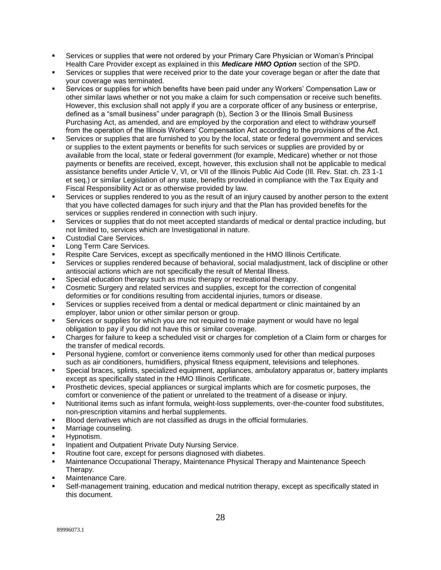- Services or supplies that were not ordered by your Primary Care Physician or Woman's Principal Health Care Provider except as explained in this *Medicare HMO Option* section of the SPD.
- Services or supplies that were received prior to the date your coverage began or after the date that your coverage was terminated.
- Services or supplies for which benefits have been paid under any Workers' Compensation Law or other similar laws whether or not you make a claim for such compensation or receive such benefits. However, this exclusion shall not apply if you are a corporate officer of any business or enterprise, defined as a "small business" under paragraph (b), Section 3 or the Illinois Small Business Purchasing Act, as amended, and are employed by the corporation and elect to withdraw yourself from the operation of the Illinois Workers' Compensation Act according to the provisions of the Act.
- Services or supplies that are furnished to you by the local, state or federal government and services or supplies to the extent payments or benefits for such services or supplies are provided by or available from the local, state or federal government (for example, Medicare) whether or not those payments or benefits are received, except, however, this exclusion shall not be applicable to medical assistance benefits under Article V, VI, or VII of the Illinois Public Aid Code (Ill. Rev. Stat. ch. 23 1-1 et seq.) or similar Legislation of any state, benefits provided in compliance with the Tax Equity and Fiscal Responsibility Act or as otherwise provided by law.
- Services or supplies rendered to you as the result of an injury caused by another person to the extent that you have collected damages for such injury and that the Plan has provided benefits for the services or supplies rendered in connection with such injury.
- Services or supplies that do not meet accepted standards of medical or dental practice including, but not limited to, services which are Investigational in nature.
- Custodial Care Services.
- Long Term Care Services.
- Respite Care Services, except as specifically mentioned in the HMO Illinois Certificate.
- Services or supplies rendered because of behavioral, social maladjustment, lack of discipline or other antisocial actions which are not specifically the result of Mental Illness.
- Special education therapy such as music therapy or recreational therapy.
- Cosmetic Surgery and related services and supplies, except for the correction of congenital deformities or for conditions resulting from accidental injuries, tumors or disease.
- Services or supplies received from a dental or medical department or clinic maintained by an employer, labor union or other similar person or group.
- Services or supplies for which you are not required to make payment or would have no legal obligation to pay if you did not have this or similar coverage.
- Charges for failure to keep a scheduled visit or charges for completion of a Claim form or charges for the transfer of medical records.
- Personal hygiene, comfort or convenience items commonly used for other than medical purposes such as air conditioners, humidifiers, physical fitness equipment, televisions and telephones.
- Special braces, splints, specialized equipment, appliances, ambulatory apparatus or, battery implants except as specifically stated in the HMO Illinois Certificate.
- Prosthetic devices, special appliances or surgical implants which are for cosmetic purposes, the comfort or convenience of the patient or unrelated to the treatment of a disease or injury.
- Nutritional items such as infant formula, weight-loss supplements, over-the-counter food substitutes, non-prescription vitamins and herbal supplements.
- Blood derivatives which are not classified as drugs in the official formularies.
- Marriage counseling.
- Hypnotism.
- Inpatient and Outpatient Private Duty Nursing Service.
- Routine foot care, except for persons diagnosed with diabetes.
- Maintenance Occupational Therapy, Maintenance Physical Therapy and Maintenance Speech Therapy.
- Maintenance Care.
- Self-management training, education and medical nutrition therapy, except as specifically stated in this document.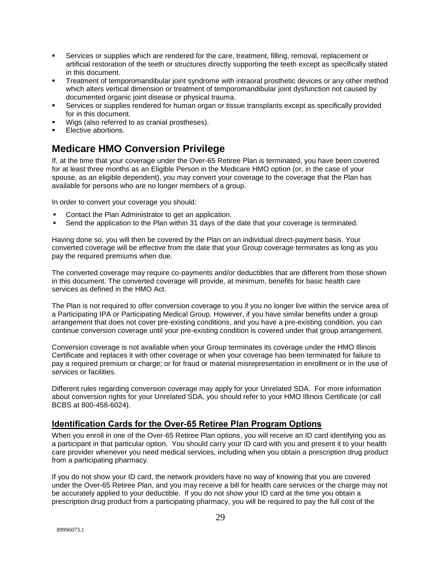- Services or supplies which are rendered for the care, treatment, filling, removal, replacement or artificial restoration of the teeth or structures directly supporting the teeth except as specifically stated in this document.
- Treatment of temporomandibular joint syndrome with intraoral prosthetic devices or any other method which alters vertical dimension or treatment of temporomandibular joint dysfunction not caused by documented organic joint disease or physical trauma.
- Services or supplies rendered for human organ or tissue transplants except as specifically provided for in this document.
- Wigs (also referred to as cranial prostheses).
- Elective abortions.

## **Medicare HMO Conversion Privilege**

If, at the time that your coverage under the Over-65 Retiree Plan is terminated, you have been covered for at least three months as an Eligible Person in the Medicare HMO option (or, in the case of your spouse, as an eligible dependent), you may convert your coverage to the coverage that the Plan has available for persons who are no longer members of a group.

In order to convert your coverage you should:

- Contact the Plan Administrator to get an application.
- Send the application to the Plan within 31 days of the date that your coverage is terminated.

Having done so, you will then be covered by the Plan on an individual direct-payment basis. Your converted coverage will be effective from the date that your Group coverage terminates as long as you pay the required premiums when due.

The converted coverage may require co-payments and/or deductibles that are different from those shown in this document. The converted coverage will provide, at minimum, benefits for basic health care services as defined in the HMO Act.

The Plan is not required to offer conversion coverage to you if you no longer live within the service area of a Participating IPA or Participating Medical Group. However, if you have similar benefits under a group arrangement that does not cover pre-existing conditions, and you have a pre-existing condition, you can continue conversion coverage until your pre-existing condition is covered under that group arrangement.

Conversion coverage is not available when your Group terminates its coverage under the HMO Illinois Certificate and replaces it with other coverage or when your coverage has been terminated for failure to pay a required premium or charge; or for fraud or material misrepresentation in enrollment or in the use of services or facilities.

Different rules regarding conversion coverage may apply for your Unrelated SDA. For more information about conversion rights for your Unrelated SDA, you should refer to your HMO Illinois Certificate (or call BCBS at 800-458-6024).

## **Identification Cards for the Over-65 Retiree Plan Program Options**

When you enroll in one of the Over-65 Retiree Plan options, you will receive an ID card identifying you as a participant in that particular option. You should carry your ID card with you and present it to your health care provider whenever you need medical services, including when you obtain a prescription drug product from a participating pharmacy.

If you do not show your ID card, the network providers have no way of knowing that you are covered under the Over-65 Retiree Plan, and you may receive a bill for health care services or the charge may not be accurately applied to your deductible. If you do not show your ID card at the time you obtain a prescription drug product from a participating pharmacy, you will be required to pay the full cost of the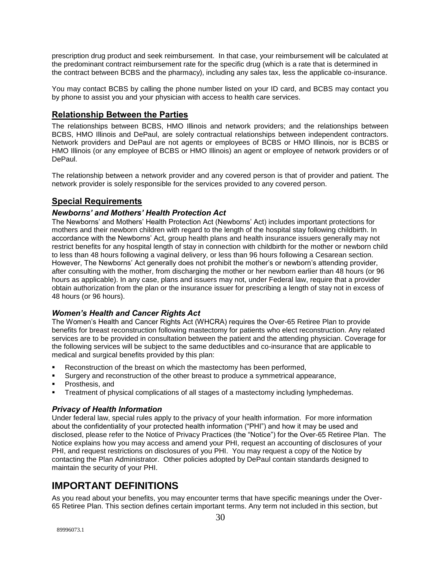prescription drug product and seek reimbursement. In that case, your reimbursement will be calculated at the predominant contract reimbursement rate for the specific drug (which is a rate that is determined in the contract between BCBS and the pharmacy), including any sales tax, less the applicable co-insurance.

You may contact BCBS by calling the phone number listed on your ID card, and BCBS may contact you by phone to assist you and your physician with access to health care services.

## **Relationship Between the Parties**

The relationships between BCBS, HMO Illinois and network providers; and the relationships between BCBS, HMO Illinois and DePaul, are solely contractual relationships between independent contractors. Network providers and DePaul are not agents or employees of BCBS or HMO Illinois, nor is BCBS or HMO Illinois (or any employee of BCBS or HMO Illinois) an agent or employee of network providers or of DePaul.

The relationship between a network provider and any covered person is that of provider and patient. The network provider is solely responsible for the services provided to any covered person.

### **Special Requirements**

#### *Newborns' and Mothers' Health Protection Act*

The Newborns' and Mothers' Health Protection Act (Newborns' Act) includes important protections for mothers and their newborn children with regard to the length of the hospital stay following childbirth. In accordance with the Newborns' Act, group health plans and health insurance issuers generally may not restrict benefits for any hospital length of stay in connection with childbirth for the mother or newborn child to less than 48 hours following a vaginal delivery, or less than 96 hours following a Cesarean section. However, The Newborns' Act generally does not prohibit the mother's or newborn's attending provider, after consulting with the mother, from discharging the mother or her newborn earlier than 48 hours (or 96 hours as applicable). In any case, plans and issuers may not, under Federal law, require that a provider obtain authorization from the plan or the insurance issuer for prescribing a length of stay not in excess of 48 hours (or 96 hours).

#### *Women's Health and Cancer Rights Act*

The Women's Health and Cancer Rights Act (WHCRA) requires the Over-65 Retiree Plan to provide benefits for breast reconstruction following mastectomy for patients who elect reconstruction. Any related services are to be provided in consultation between the patient and the attending physician. Coverage for the following services will be subject to the same deductibles and co-insurance that are applicable to medical and surgical benefits provided by this plan:

- Reconstruction of the breast on which the mastectomy has been performed,
- Surgery and reconstruction of the other breast to produce a symmetrical appearance,
- Prosthesis, and
- Treatment of physical complications of all stages of a mastectomy including lymphedemas.

#### *Privacy of Health Information*

Under federal law, special rules apply to the privacy of your health information. For more information about the confidentiality of your protected health information ("PHI") and how it may be used and disclosed, please refer to the Notice of Privacy Practices (the "Notice") for the Over-65 Retiree Plan. The Notice explains how you may access and amend your PHI, request an accounting of disclosures of your PHI, and request restrictions on disclosures of you PHI. You may request a copy of the Notice by contacting the Plan Administrator. Other policies adopted by DePaul contain standards designed to maintain the security of your PHI.

## **IMPORTANT DEFINITIONS**

As you read about your benefits, you may encounter terms that have specific meanings under the Over-65 Retiree Plan. This section defines certain important terms. Any term not included in this section, but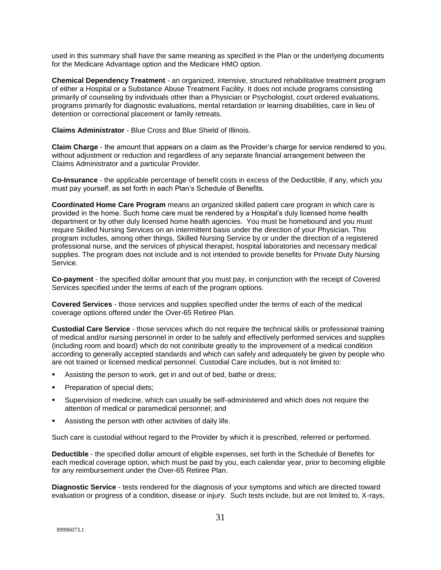used in this summary shall have the same meaning as specified in the Plan or the underlying documents for the Medicare Advantage option and the Medicare HMO option.

**Chemical Dependency Treatment** - an organized, intensive, structured rehabilitative treatment program of either a Hospital or a Substance Abuse Treatment Facility. It does not include programs consisting primarily of counseling by individuals other than a Physician or Psychologist, court ordered evaluations, programs primarily for diagnostic evaluations, mental retardation or learning disabilities, care in lieu of detention or correctional placement or family retreats.

**Claims Administrator** - Blue Cross and Blue Shield of Illinois.

**Claim Charge** - the amount that appears on a claim as the Provider's charge for service rendered to you, without adjustment or reduction and regardless of any separate financial arrangement between the Claims Administrator and a particular Provider.

**Co-Insurance** - the applicable percentage of benefit costs in excess of the Deductible, if any, which you must pay yourself, as set forth in each Plan's Schedule of Benefits.

**Coordinated Home Care Program** means an organized skilled patient care program in which care is provided in the home. Such home care must be rendered by a Hospital's duly licensed home health department or by other duly licensed home health agencies. You must be homebound and you must require Skilled Nursing Services on an intermittent basis under the direction of your Physician. This program includes, among other things, Skilled Nursing Service by or under the direction of a registered professional nurse, and the services of physical therapist, hospital laboratories and necessary medical supplies. The program does not include and is not intended to provide benefits for Private Duty Nursing Service.

**Co-payment** - the specified dollar amount that you must pay, in conjunction with the receipt of Covered Services specified under the terms of each of the program options.

**Covered Services** - those services and supplies specified under the terms of each of the medical coverage options offered under the Over-65 Retiree Plan.

**Custodial Care Service** - those services which do not require the technical skills or professional training of medical and/or nursing personnel in order to be safely and effectively performed services and supplies (including room and board) which do not contribute greatly to the improvement of a medical condition according to generally accepted standards and which can safely and adequately be given by people who are not trained or licensed medical personnel. Custodial Care includes, but is not limited to:

- Assisting the person to work, get in and out of bed, bathe or dress;
- **Preparation of special diets;**
- Supervision of medicine, which can usually be self-administered and which does not require the attention of medical or paramedical personnel; and
- Assisting the person with other activities of daily life.

Such care is custodial without regard to the Provider by which it is prescribed, referred or performed.

**Deductible** - the specified dollar amount of eligible expenses, set forth in the Schedule of Benefits for each medical coverage option, which must be paid by you, each calendar year, prior to becoming eligible for any reimbursement under the Over-65 Retiree Plan.

**Diagnostic Service** - tests rendered for the diagnosis of your symptoms and which are directed toward evaluation or progress of a condition, disease or injury. Such tests include, but are not limited to, X-rays,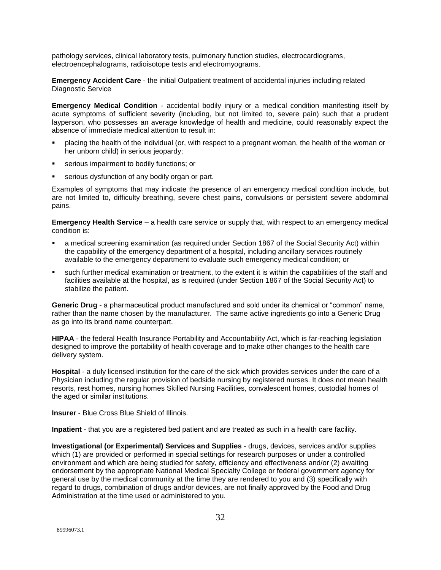pathology services, clinical laboratory tests, pulmonary function studies, electrocardiograms, electroencephalograms, radioisotope tests and electromyograms.

**Emergency Accident Care** - the initial Outpatient treatment of accidental injuries including related Diagnostic Service

**Emergency Medical Condition** - accidental bodily injury or a medical condition manifesting itself by acute symptoms of sufficient severity (including, but not limited to, severe pain) such that a prudent layperson, who possesses an average knowledge of health and medicine, could reasonably expect the absence of immediate medical attention to result in:

- placing the health of the individual (or, with respect to a pregnant woman, the health of the woman or her unborn child) in serious jeopardy;
- serious impairment to bodily functions; or
- serious dysfunction of any bodily organ or part.

Examples of symptoms that may indicate the presence of an emergency medical condition include, but are not limited to, difficulty breathing, severe chest pains, convulsions or persistent severe abdominal pains.

**Emergency Health Service** – a health care service or supply that, with respect to an emergency medical condition is:

- a medical screening examination (as required under Section 1867 of the Social Security Act) within the capability of the emergency department of a hospital, including ancillary services routinely available to the emergency department to evaluate such emergency medical condition; or
- such further medical examination or treatment, to the extent it is within the capabilities of the staff and facilities available at the hospital, as is required (under Section 1867 of the Social Security Act) to stabilize the patient.

**Generic Drug** - a pharmaceutical product manufactured and sold under its chemical or "common" name, rather than the name chosen by the manufacturer. The same active ingredients go into a Generic Drug as go into its brand name counterpart.

**HIPAA** - the federal Health Insurance Portability and Accountability Act, which is far-reaching legislation designed to improve the portability of health coverage and to make other changes to the health care delivery system.

**Hospital** - a duly licensed institution for the care of the sick which provides services under the care of a Physician including the regular provision of bedside nursing by registered nurses. It does not mean health resorts, rest homes, nursing homes Skilled Nursing Facilities, convalescent homes, custodial homes of the aged or similar institutions.

**Insurer** - Blue Cross Blue Shield of Illinois.

**Inpatient** - that you are a registered bed patient and are treated as such in a health care facility.

**Investigational (or Experimental) Services and Supplies** - drugs, devices, services and/or supplies which (1) are provided or performed in special settings for research purposes or under a controlled environment and which are being studied for safety, efficiency and effectiveness and/or (2) awaiting endorsement by the appropriate National Medical Specialty College or federal government agency for general use by the medical community at the time they are rendered to you and (3) specifically with regard to drugs, combination of drugs and/or devices, are not finally approved by the Food and Drug Administration at the time used or administered to you.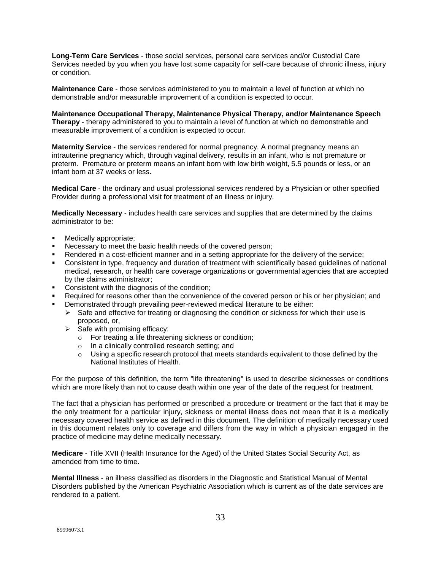**Long-Term Care Services** - those social services, personal care services and/or Custodial Care Services needed by you when you have lost some capacity for self-care because of chronic illness, injury or condition.

**Maintenance Care** - those services administered to you to maintain a level of function at which no demonstrable and/or measurable improvement of a condition is expected to occur.

**Maintenance Occupational Therapy, Maintenance Physical Therapy, and/or Maintenance Speech Therapy** - therapy administered to you to maintain a level of function at which no demonstrable and measurable improvement of a condition is expected to occur.

**Maternity Service** - the services rendered for normal pregnancy. A normal pregnancy means an intrauterine pregnancy which, through vaginal delivery, results in an infant, who is not premature or preterm. Premature or preterm means an infant born with low birth weight, 5.5 pounds or less, or an infant born at 37 weeks or less.

**Medical Care** - the ordinary and usual professional services rendered by a Physician or other specified Provider during a professional visit for treatment of an illness or injury.

**Medically Necessary** - includes health care services and supplies that are determined by the claims administrator to be:

- Medically appropriate;
- Necessary to meet the basic health needs of the covered person;
- Rendered in a cost-efficient manner and in a setting appropriate for the delivery of the service;
- Consistent in type, frequency and duration of treatment with scientifically based guidelines of national medical, research, or health care coverage organizations or governmental agencies that are accepted by the claims administrator;
- Consistent with the diagnosis of the condition;
- Required for reasons other than the convenience of the covered person or his or her physician; and
- Demonstrated through prevailing peer-reviewed medical literature to be either:
	- $\triangleright$  Safe and effective for treating or diagnosing the condition or sickness for which their use is proposed, or,
	- $\triangleright$  Safe with promising efficacy:
		- o For treating a life threatening sickness or condition;
		- o In a clinically controlled research setting; and
		- $\circ$  Using a specific research protocol that meets standards equivalent to those defined by the National Institutes of Health.

For the purpose of this definition, the term "life threatening" is used to describe sicknesses or conditions which are more likely than not to cause death within one year of the date of the request for treatment.

The fact that a physician has performed or prescribed a procedure or treatment or the fact that it may be the only treatment for a particular injury, sickness or mental illness does not mean that it is a medically necessary covered health service as defined in this document. The definition of medically necessary used in this document relates only to coverage and differs from the way in which a physician engaged in the practice of medicine may define medically necessary.

**Medicare** - Title XVII (Health Insurance for the Aged) of the United States Social Security Act, as amended from time to time.

**Mental Illness** - an illness classified as disorders in the Diagnostic and Statistical Manual of Mental Disorders published by the American Psychiatric Association which is current as of the date services are rendered to a patient.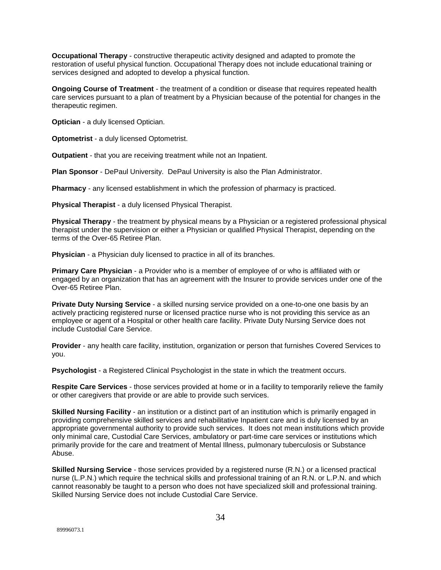**Occupational Therapy** - constructive therapeutic activity designed and adapted to promote the restoration of useful physical function. Occupational Therapy does not include educational training or services designed and adopted to develop a physical function.

**Ongoing Course of Treatment** - the treatment of a condition or disease that requires repeated health care services pursuant to a plan of treatment by a Physician because of the potential for changes in the therapeutic regimen.

**Optician** - a duly licensed Optician.

**Optometrist** - a duly licensed Optometrist.

**Outpatient** - that you are receiving treatment while not an Inpatient.

**Plan Sponsor** - DePaul University. DePaul University is also the Plan Administrator.

**Pharmacy** - any licensed establishment in which the profession of pharmacy is practiced.

**Physical Therapist** - a duly licensed Physical Therapist.

**Physical Therapy** - the treatment by physical means by a Physician or a registered professional physical therapist under the supervision or either a Physician or qualified Physical Therapist, depending on the terms of the Over-65 Retiree Plan.

**Physician** - a Physician duly licensed to practice in all of its branches.

**Primary Care Physician** - a Provider who is a member of employee of or who is affiliated with or engaged by an organization that has an agreement with the Insurer to provide services under one of the Over-65 Retiree Plan.

**Private Duty Nursing Service** - a skilled nursing service provided on a one-to-one one basis by an actively practicing registered nurse or licensed practice nurse who is not providing this service as an employee or agent of a Hospital or other health care facility. Private Duty Nursing Service does not include Custodial Care Service.

**Provider** - any health care facility, institution, organization or person that furnishes Covered Services to you.

**Psychologist** - a Registered Clinical Psychologist in the state in which the treatment occurs.

**Respite Care Services** - those services provided at home or in a facility to temporarily relieve the family or other caregivers that provide or are able to provide such services.

**Skilled Nursing Facility** - an institution or a distinct part of an institution which is primarily engaged in providing comprehensive skilled services and rehabilitative Inpatient care and is duly licensed by an appropriate governmental authority to provide such services. It does not mean institutions which provide only minimal care, Custodial Care Services, ambulatory or part-time care services or institutions which primarily provide for the care and treatment of Mental Illness, pulmonary tuberculosis or Substance Abuse.

**Skilled Nursing Service** - those services provided by a registered nurse (R.N.) or a licensed practical nurse (L.P.N.) which require the technical skills and professional training of an R.N. or L.P.N. and which cannot reasonably be taught to a person who does not have specialized skill and professional training. Skilled Nursing Service does not include Custodial Care Service.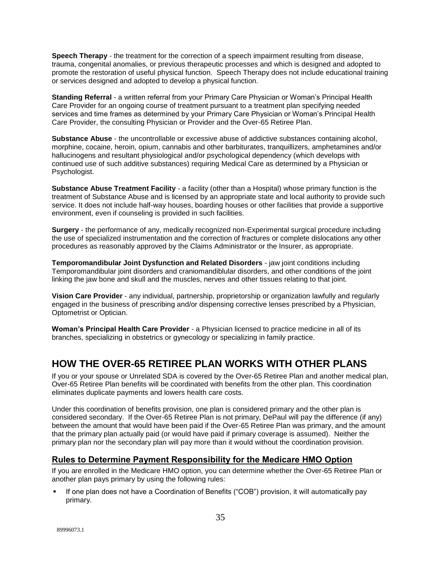**Speech Therapy** - the treatment for the correction of a speech impairment resulting from disease, trauma, congenital anomalies, or previous therapeutic processes and which is designed and adopted to promote the restoration of useful physical function. Speech Therapy does not include educational training or services designed and adopted to develop a physical function.

**Standing Referral** - a written referral from your Primary Care Physician or Woman's Principal Health Care Provider for an ongoing course of treatment pursuant to a treatment plan specifying needed services and time frames as determined by your Primary Care Physician or Woman's Principal Health Care Provider, the consulting Physician or Provider and the Over-65 Retiree Plan.

**Substance Abuse** - the uncontrollable or excessive abuse of addictive substances containing alcohol, morphine, cocaine, heroin, opium, cannabis and other barbiturates, tranquillizers, amphetamines and/or hallucinogens and resultant physiological and/or psychological dependency (which develops with continued use of such additive substances) requiring Medical Care as determined by a Physician or Psychologist.

**Substance Abuse Treatment Facility - a facility (other than a Hospital) whose primary function is the** treatment of Substance Abuse and is licensed by an appropriate state and local authority to provide such service. It does not include half-way houses, boarding houses or other facilities that provide a supportive environment, even if counseling is provided in such facilities.

**Surgery** - the performance of any, medically recognized non-Experimental surgical procedure including the use of specialized instrumentation and the correction of fractures or complete dislocations any other procedures as reasonably approved by the Claims Administrator or the Insurer, as appropriate.

**Temporomandibular Joint Dysfunction and Related Disorders** - jaw joint conditions including Temporomandibular joint disorders and craniomandiblular disorders, and other conditions of the joint linking the jaw bone and skull and the muscles, nerves and other tissues relating to that joint.

**Vision Care Provider** - any individual, partnership, proprietorship or organization lawfully and regularly engaged in the business of prescribing and/or dispensing corrective lenses prescribed by a Physician, Optometrist or Optician.

**Woman's Principal Health Care Provider** - a Physician licensed to practice medicine in all of its branches, specializing in obstetrics or gynecology or specializing in family practice.

## **HOW THE OVER-65 RETIREE PLAN WORKS WITH OTHER PLANS**

If you or your spouse or Unrelated SDA is covered by the Over-65 Retiree Plan and another medical plan, Over-65 Retiree Plan benefits will be coordinated with benefits from the other plan. This coordination eliminates duplicate payments and lowers health care costs.

Under this coordination of benefits provision, one plan is considered primary and the other plan is considered secondary. If the Over-65 Retiree Plan is not primary, DePaul will pay the difference (if any) between the amount that would have been paid if the Over-65 Retiree Plan was primary, and the amount that the primary plan actually paid (or would have paid if primary coverage is assumed). Neither the primary plan nor the secondary plan will pay more than it would without the coordination provision.

## **Rules to Determine Payment Responsibility for the Medicare HMO Option**

If you are enrolled in the Medicare HMO option, you can determine whether the Over-65 Retiree Plan or another plan pays primary by using the following rules:

 If one plan does not have a Coordination of Benefits ("COB") provision, it will automatically pay primary.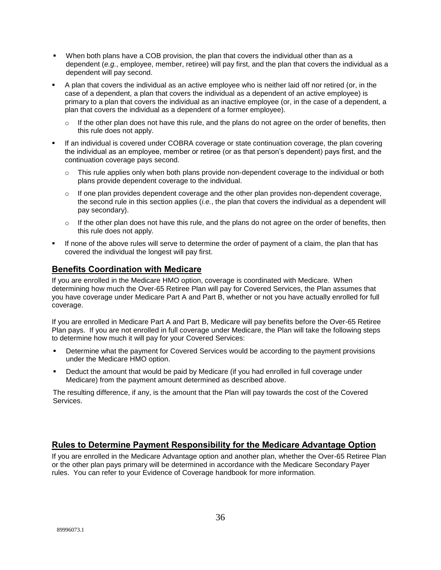- When both plans have a COB provision, the plan that covers the individual other than as a dependent (*e.g.*, employee, member, retiree) will pay first, and the plan that covers the individual as a dependent will pay second.
- A plan that covers the individual as an active employee who is neither laid off nor retired (or, in the case of a dependent, a plan that covers the individual as a dependent of an active employee) is primary to a plan that covers the individual as an inactive employee (or, in the case of a dependent, a plan that covers the individual as a dependent of a former employee).
	- $\circ$  If the other plan does not have this rule, and the plans do not agree on the order of benefits, then this rule does not apply.
- If an individual is covered under COBRA coverage or state continuation coverage, the plan covering the individual as an employee, member or retiree (or as that person's dependent) pays first, and the continuation coverage pays second.
	- $\circ$  This rule applies only when both plans provide non-dependent coverage to the individual or both plans provide dependent coverage to the individual.
	- $\circ$  If one plan provides dependent coverage and the other plan provides non-dependent coverage, the second rule in this section applies (*i.e.*, the plan that covers the individual as a dependent will pay secondary).
	- $\circ$  If the other plan does not have this rule, and the plans do not agree on the order of benefits, then this rule does not apply.
- If none of the above rules will serve to determine the order of payment of a claim, the plan that has covered the individual the longest will pay first.

### **Benefits Coordination with Medicare**

If you are enrolled in the Medicare HMO option, coverage is coordinated with Medicare. When determining how much the Over-65 Retiree Plan will pay for Covered Services, the Plan assumes that you have coverage under Medicare Part A and Part B, whether or not you have actually enrolled for full coverage.

If you are enrolled in Medicare Part A and Part B, Medicare will pay benefits before the Over-65 Retiree Plan pays. If you are not enrolled in full coverage under Medicare, the Plan will take the following steps to determine how much it will pay for your Covered Services:

- **•** Determine what the payment for Covered Services would be according to the payment provisions under the Medicare HMO option.
- Deduct the amount that would be paid by Medicare (if you had enrolled in full coverage under Medicare) from the payment amount determined as described above.

The resulting difference, if any, is the amount that the Plan will pay towards the cost of the Covered Services.

### **Rules to Determine Payment Responsibility for the Medicare Advantage Option**

If you are enrolled in the Medicare Advantage option and another plan, whether the Over-65 Retiree Plan or the other plan pays primary will be determined in accordance with the Medicare Secondary Payer rules. You can refer to your Evidence of Coverage handbook for more information.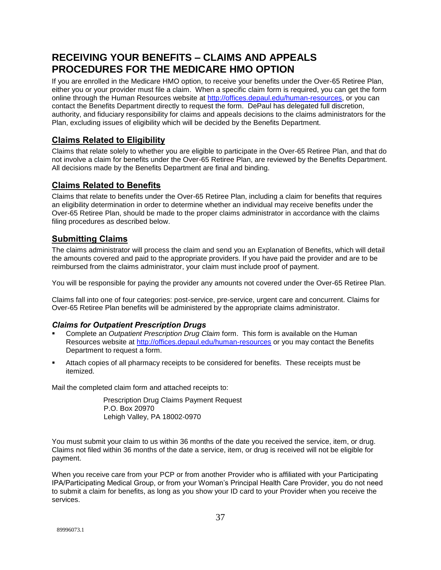## **RECEIVING YOUR BENEFITS – CLAIMS AND APPEALS PROCEDURES FOR THE MEDICARE HMO OPTION**

If you are enrolled in the Medicare HMO option, to receive your benefits under the Over-65 Retiree Plan, either you or your provider must file a claim. When a specific claim form is required, you can get the form online through the Human Resources website at [http://offices.depaul.edu/human-resources,](http://offices.depaul.edu/human-resources) or you can contact the Benefits Department directly to request the form. DePaul has delegated full discretion, authority, and fiduciary responsibility for claims and appeals decisions to the claims administrators for the Plan, excluding issues of eligibility which will be decided by the Benefits Department.

## **Claims Related to Eligibility**

Claims that relate solely to whether you are eligible to participate in the Over-65 Retiree Plan, and that do not involve a claim for benefits under the Over-65 Retiree Plan, are reviewed by the Benefits Department. All decisions made by the Benefits Department are final and binding.

## **Claims Related to Benefits**

Claims that relate to benefits under the Over-65 Retiree Plan, including a claim for benefits that requires an eligibility determination in order to determine whether an individual may receive benefits under the Over-65 Retiree Plan, should be made to the proper claims administrator in accordance with the claims filing procedures as described below.

## **Submitting Claims**

The claims administrator will process the claim and send you an Explanation of Benefits, which will detail the amounts covered and paid to the appropriate providers. If you have paid the provider and are to be reimbursed from the claims administrator, your claim must include proof of payment.

You will be responsible for paying the provider any amounts not covered under the Over-65 Retiree Plan.

Claims fall into one of four categories: post-service, pre-service, urgent care and concurrent. Claims for Over-65 Retiree Plan benefits will be administered by the appropriate claims administrator.

### *Claims for Outpatient Prescription Drugs*

- Complete an *Outpatient Prescription Drug Claim* form. This form is available on the Human Resources website at<http://offices.depaul.edu/human-resources> or you may contact the Benefits Department to request a form.
- Attach copies of all pharmacy receipts to be considered for benefits. These receipts must be itemized.

Mail the completed claim form and attached receipts to:

Prescription Drug Claims Payment Request P.O. Box 20970 Lehigh Valley, PA 18002-0970

You must submit your claim to us within 36 months of the date you received the service, item, or drug. Claims not filed within 36 months of the date a service, item, or drug is received will not be eligible for payment.

When you receive care from your PCP or from another Provider who is affiliated with your Participating IPA/Participating Medical Group, or from your Woman's Principal Health Care Provider, you do not need to submit a claim for benefits, as long as you show your ID card to your Provider when you receive the services.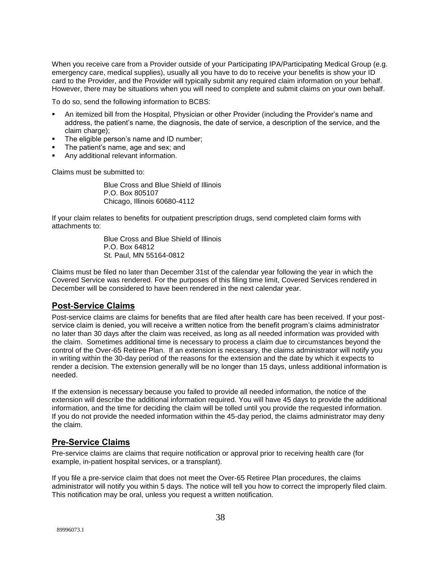When you receive care from a Provider outside of your Participating IPA/Participating Medical Group (e.g. emergency care, medical supplies), usually all you have to do to receive your benefits is show your ID card to the Provider, and the Provider will typically submit any required claim information on your behalf. However, there may be situations when you will need to complete and submit claims on your own behalf.

To do so, send the following information to BCBS:

- An itemized bill from the Hospital, Physician or other Provider (including the Provider's name and address, the patient's name, the diagnosis, the date of service, a description of the service, and the claim charge);
- The eligible person's name and ID number;
- The patient's name, age and sex; and
- Any additional relevant information.

Claims must be submitted to:

Blue Cross and Blue Shield of Illinois P.O. Box 805107 Chicago, Illinois 60680-4112

If your claim relates to benefits for outpatient prescription drugs, send completed claim forms with attachments to:

> Blue Cross and Blue Shield of Illinois P.O. Box 64812 St. Paul, MN 55164-0812

Claims must be filed no later than December 31st of the calendar year following the year in which the Covered Service was rendered. For the purposes of this filing time limit, Covered Services rendered in December will be considered to have been rendered in the next calendar year.

### **Post-Service Claims**

Post-service claims are claims for benefits that are filed after health care has been received. If your postservice claim is denied, you will receive a written notice from the benefit program's claims administrator no later than 30 days after the claim was received, as long as all needed information was provided with the claim. Sometimes additional time is necessary to process a claim due to circumstances beyond the control of the Over-65 Retiree Plan. If an extension is necessary, the claims administrator will notify you in writing within the 30-day period of the reasons for the extension and the date by which it expects to render a decision. The extension generally will be no longer than 15 days, unless additional information is needed.

If the extension is necessary because you failed to provide all needed information, the notice of the extension will describe the additional information required. You will have 45 days to provide the additional information, and the time for deciding the claim will be tolled until you provide the requested information. If you do not provide the needed information within the 45-day period, the claims administrator may deny the claim.

### **Pre-Service Claims**

Pre-service claims are claims that require notification or approval prior to receiving health care (for example, in-patient hospital services, or a transplant).

If you file a pre-service claim that does not meet the Over-65 Retiree Plan procedures, the claims administrator will notify you within 5 days. The notice will tell you how to correct the improperly filed claim. This notification may be oral, unless you request a written notification.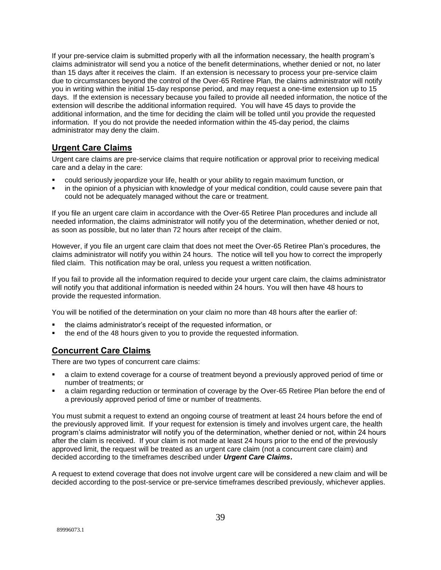If your pre-service claim is submitted properly with all the information necessary, the health program's claims administrator will send you a notice of the benefit determinations, whether denied or not, no later than 15 days after it receives the claim. If an extension is necessary to process your pre-service claim due to circumstances beyond the control of the Over-65 Retiree Plan, the claims administrator will notify you in writing within the initial 15-day response period, and may request a one-time extension up to 15 days. If the extension is necessary because you failed to provide all needed information, the notice of the extension will describe the additional information required. You will have 45 days to provide the additional information, and the time for deciding the claim will be tolled until you provide the requested information. If you do not provide the needed information within the 45-day period, the claims administrator may deny the claim.

## **Urgent Care Claims**

Urgent care claims are pre-service claims that require notification or approval prior to receiving medical care and a delay in the care:

- could seriously jeopardize your life, health or your ability to regain maximum function, or
- in the opinion of a physician with knowledge of your medical condition, could cause severe pain that could not be adequately managed without the care or treatment.

If you file an urgent care claim in accordance with the Over-65 Retiree Plan procedures and include all needed information, the claims administrator will notify you of the determination, whether denied or not, as soon as possible, but no later than 72 hours after receipt of the claim.

However, if you file an urgent care claim that does not meet the Over-65 Retiree Plan's procedures, the claims administrator will notify you within 24 hours. The notice will tell you how to correct the improperly filed claim. This notification may be oral, unless you request a written notification.

If you fail to provide all the information required to decide your urgent care claim, the claims administrator will notify you that additional information is needed within 24 hours. You will then have 48 hours to provide the requested information.

You will be notified of the determination on your claim no more than 48 hours after the earlier of:

- the claims administrator's receipt of the requested information, or
- the end of the 48 hours given to you to provide the requested information.

## **Concurrent Care Claims**

There are two types of concurrent care claims:

- a claim to extend coverage for a course of treatment beyond a previously approved period of time or number of treatments; or
- a claim regarding reduction or termination of coverage by the Over-65 Retiree Plan before the end of a previously approved period of time or number of treatments.

You must submit a request to extend an ongoing course of treatment at least 24 hours before the end of the previously approved limit. If your request for extension is timely and involves urgent care, the health program's claims administrator will notify you of the determination, whether denied or not, within 24 hours after the claim is received. If your claim is not made at least 24 hours prior to the end of the previously approved limit, the request will be treated as an urgent care claim (not a concurrent care claim) and decided according to the timeframes described under *Urgent Care Claims***.**

A request to extend coverage that does not involve urgent care will be considered a new claim and will be decided according to the post-service or pre-service timeframes described previously, whichever applies.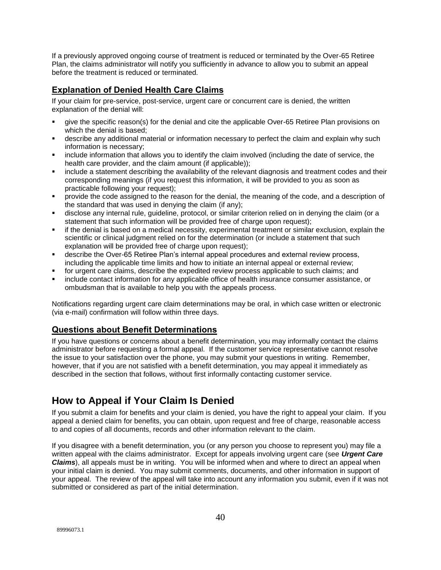If a previously approved ongoing course of treatment is reduced or terminated by the Over-65 Retiree Plan, the claims administrator will notify you sufficiently in advance to allow you to submit an appeal before the treatment is reduced or terminated.

## **Explanation of Denied Health Care Claims**

If your claim for pre-service, post-service, urgent care or concurrent care is denied, the written explanation of the denial will:

- give the specific reason(s) for the denial and cite the applicable Over-65 Retiree Plan provisions on which the denial is based;
- describe any additional material or information necessary to perfect the claim and explain why such information is necessary;
- include information that allows you to identify the claim involved (including the date of service, the health care provider, and the claim amount (if applicable));
- include a statement describing the availability of the relevant diagnosis and treatment codes and their corresponding meanings (if you request this information, it will be provided to you as soon as practicable following your request);
- provide the code assigned to the reason for the denial, the meaning of the code, and a description of the standard that was used in denying the claim (if any);
- disclose any internal rule, guideline, protocol, or similar criterion relied on in denying the claim (or a statement that such information will be provided free of charge upon request);
- if the denial is based on a medical necessity, experimental treatment or similar exclusion, explain the scientific or clinical judgment relied on for the determination (or include a statement that such explanation will be provided free of charge upon request);
- describe the Over-65 Retiree Plan's internal appeal procedures and external review process, including the applicable time limits and how to initiate an internal appeal or external review;
- for urgent care claims, describe the expedited review process applicable to such claims; and
- include contact information for any applicable office of health insurance consumer assistance, or ombudsman that is available to help you with the appeals process.

Notifications regarding urgent care claim determinations may be oral, in which case written or electronic (via e-mail) confirmation will follow within three days.

## **Questions about Benefit Determinations**

If you have questions or concerns about a benefit determination, you may informally contact the claims administrator before requesting a formal appeal. If the customer service representative cannot resolve the issue to your satisfaction over the phone, you may submit your questions in writing. Remember, however, that if you are not satisfied with a benefit determination, you may appeal it immediately as described in the section that follows, without first informally contacting customer service.

## **How to Appeal if Your Claim Is Denied**

If you submit a claim for benefits and your claim is denied, you have the right to appeal your claim. If you appeal a denied claim for benefits, you can obtain, upon request and free of charge, reasonable access to and copies of all documents, records and other information relevant to the claim.

If you disagree with a benefit determination, you (or any person you choose to represent you) may file a written appeal with the claims administrator. Except for appeals involving urgent care (see *Urgent Care Claims*), all appeals must be in writing. You will be informed when and where to direct an appeal when your initial claim is denied. You may submit comments, documents, and other information in support of your appeal. The review of the appeal will take into account any information you submit, even if it was not submitted or considered as part of the initial determination.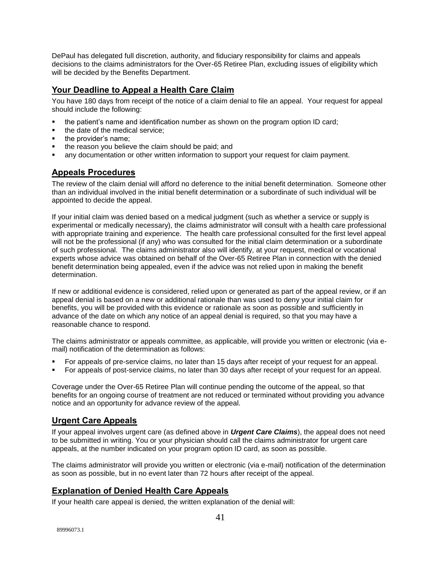DePaul has delegated full discretion, authority, and fiduciary responsibility for claims and appeals decisions to the claims administrators for the Over-65 Retiree Plan, excluding issues of eligibility which will be decided by the Benefits Department.

## **Your Deadline to Appeal a Health Care Claim**

You have 180 days from receipt of the notice of a claim denial to file an appeal. Your request for appeal should include the following:

- the patient's name and identification number as shown on the program option ID card;
- the date of the medical service;
- the provider's name;
- the reason you believe the claim should be paid; and
- any documentation or other written information to support your request for claim payment.

## **Appeals Procedures**

The review of the claim denial will afford no deference to the initial benefit determination. Someone other than an individual involved in the initial benefit determination or a subordinate of such individual will be appointed to decide the appeal.

If your initial claim was denied based on a medical judgment (such as whether a service or supply is experimental or medically necessary), the claims administrator will consult with a health care professional with appropriate training and experience. The health care professional consulted for the first level appeal will not be the professional (if any) who was consulted for the initial claim determination or a subordinate of such professional. The claims administrator also will identify, at your request, medical or vocational experts whose advice was obtained on behalf of the Over-65 Retiree Plan in connection with the denied benefit determination being appealed, even if the advice was not relied upon in making the benefit determination.

If new or additional evidence is considered, relied upon or generated as part of the appeal review, or if an appeal denial is based on a new or additional rationale than was used to deny your initial claim for benefits, you will be provided with this evidence or rationale as soon as possible and sufficiently in advance of the date on which any notice of an appeal denial is required, so that you may have a reasonable chance to respond.

The claims administrator or appeals committee, as applicable, will provide you written or electronic (via email) notification of the determination as follows:

- For appeals of pre-service claims, no later than 15 days after receipt of your request for an appeal.
- For appeals of post-service claims, no later than 30 days after receipt of your request for an appeal.

Coverage under the Over-65 Retiree Plan will continue pending the outcome of the appeal, so that benefits for an ongoing course of treatment are not reduced or terminated without providing you advance notice and an opportunity for advance review of the appeal.

## **Urgent Care Appeals**

If your appeal involves urgent care (as defined above in *Urgent Care Claims*), the appeal does not need to be submitted in writing. You or your physician should call the claims administrator for urgent care appeals, at the number indicated on your program option ID card, as soon as possible.

The claims administrator will provide you written or electronic (via e-mail) notification of the determination as soon as possible, but in no event later than 72 hours after receipt of the appeal.

### **Explanation of Denied Health Care Appeals**

If your health care appeal is denied, the written explanation of the denial will: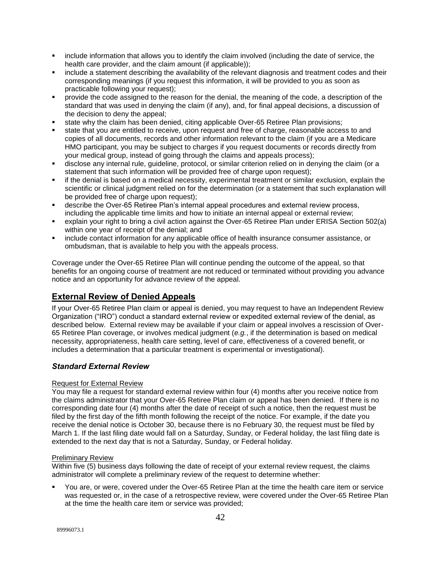- include information that allows you to identify the claim involved (including the date of service, the health care provider, and the claim amount (if applicable));
- include a statement describing the availability of the relevant diagnosis and treatment codes and their corresponding meanings (if you request this information, it will be provided to you as soon as practicable following your request);
- provide the code assigned to the reason for the denial, the meaning of the code, a description of the standard that was used in denying the claim (if any), and, for final appeal decisions, a discussion of the decision to deny the appeal;
- state why the claim has been denied, citing applicable Over-65 Retiree Plan provisions;
- state that you are entitled to receive, upon request and free of charge, reasonable access to and copies of all documents, records and other information relevant to the claim (if you are a Medicare HMO participant, you may be subject to charges if you request documents or records directly from your medical group, instead of going through the claims and appeals process);
- disclose any internal rule, guideline, protocol, or similar criterion relied on in denying the claim (or a statement that such information will be provided free of charge upon request);
- if the denial is based on a medical necessity, experimental treatment or similar exclusion, explain the scientific or clinical judgment relied on for the determination (or a statement that such explanation will be provided free of charge upon request);
- describe the Over-65 Retiree Plan's internal appeal procedures and external review process, including the applicable time limits and how to initiate an internal appeal or external review;
- explain your right to bring a civil action against the Over-65 Retiree Plan under ERISA Section 502(a) within one year of receipt of the denial; and
- include contact information for any applicable office of health insurance consumer assistance, or ombudsman, that is available to help you with the appeals process.

Coverage under the Over-65 Retiree Plan will continue pending the outcome of the appeal, so that benefits for an ongoing course of treatment are not reduced or terminated without providing you advance notice and an opportunity for advance review of the appeal.

## **External Review of Denied Appeals**

If your Over-65 Retiree Plan claim or appeal is denied, you may request to have an Independent Review Organization ("IRO") conduct a standard external review or expedited external review of the denial, as described below. External review may be available if your claim or appeal involves a rescission of Over-65 Retiree Plan coverage, or involves medical judgment (*e.g.*, if the determination is based on medical necessity, appropriateness, health care setting, level of care, effectiveness of a covered benefit, or includes a determination that a particular treatment is experimental or investigational).

#### *Standard External Review*

#### Request for External Review

You may file a request for standard external review within four (4) months after you receive notice from the claims administrator that your Over-65 Retiree Plan claim or appeal has been denied. If there is no corresponding date four (4) months after the date of receipt of such a notice, then the request must be filed by the first day of the fifth month following the receipt of the notice. For example, if the date you receive the denial notice is October 30, because there is no February 30, the request must be filed by March 1. If the last filing date would fall on a Saturday, Sunday, or Federal holiday, the last filing date is extended to the next day that is not a Saturday, Sunday, or Federal holiday.

#### Preliminary Review

Within five (5) business days following the date of receipt of your external review request, the claims administrator will complete a preliminary review of the request to determine whether:

 You are, or were, covered under the Over-65 Retiree Plan at the time the health care item or service was requested or, in the case of a retrospective review, were covered under the Over-65 Retiree Plan at the time the health care item or service was provided;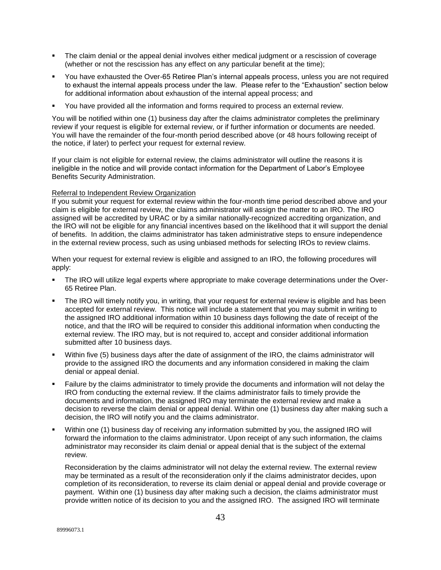- The claim denial or the appeal denial involves either medical judgment or a rescission of coverage (whether or not the rescission has any effect on any particular benefit at the time);
- You have exhausted the Over-65 Retiree Plan's internal appeals process, unless you are not required to exhaust the internal appeals process under the law. Please refer to the "Exhaustion" section below for additional information about exhaustion of the internal appeal process; and
- You have provided all the information and forms required to process an external review.

You will be notified within one (1) business day after the claims administrator completes the preliminary review if your request is eligible for external review, or if further information or documents are needed. You will have the remainder of the four-month period described above (or 48 hours following receipt of the notice, if later) to perfect your request for external review.

If your claim is not eligible for external review, the claims administrator will outline the reasons it is ineligible in the notice and will provide contact information for the Department of Labor's Employee Benefits Security Administration.

#### Referral to Independent Review Organization

If you submit your request for external review within the four-month time period described above and your claim is eligible for external review, the claims administrator will assign the matter to an IRO. The IRO assigned will be accredited by URAC or by a similar nationally-recognized accrediting organization, and the IRO will not be eligible for any financial incentives based on the likelihood that it will support the denial of benefits. In addition, the claims administrator has taken administrative steps to ensure independence in the external review process, such as using unbiased methods for selecting IROs to review claims.

When your request for external review is eligible and assigned to an IRO, the following procedures will apply:

- The IRO will utilize legal experts where appropriate to make coverage determinations under the Over-65 Retiree Plan.
- The IRO will timely notify you, in writing, that your request for external review is eligible and has been accepted for external review. This notice will include a statement that you may submit in writing to the assigned IRO additional information within 10 business days following the date of receipt of the notice, and that the IRO will be required to consider this additional information when conducting the external review. The IRO may, but is not required to, accept and consider additional information submitted after 10 business days.
- Within five (5) business days after the date of assignment of the IRO, the claims administrator will provide to the assigned IRO the documents and any information considered in making the claim denial or appeal denial.
- Failure by the claims administrator to timely provide the documents and information will not delay the IRO from conducting the external review. If the claims administrator fails to timely provide the documents and information, the assigned IRO may terminate the external review and make a decision to reverse the claim denial or appeal denial. Within one (1) business day after making such a decision, the IRO will notify you and the claims administrator.
- Within one (1) business day of receiving any information submitted by you, the assigned IRO will forward the information to the claims administrator. Upon receipt of any such information, the claims administrator may reconsider its claim denial or appeal denial that is the subject of the external review.

Reconsideration by the claims administrator will not delay the external review. The external review may be terminated as a result of the reconsideration only if the claims administrator decides, upon completion of its reconsideration, to reverse its claim denial or appeal denial and provide coverage or payment. Within one (1) business day after making such a decision, the claims administrator must provide written notice of its decision to you and the assigned IRO. The assigned IRO will terminate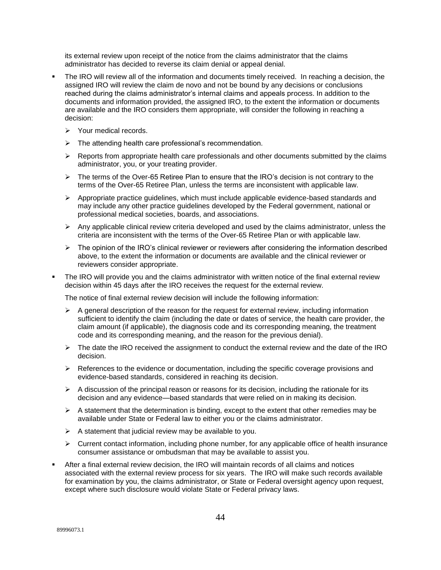its external review upon receipt of the notice from the claims administrator that the claims administrator has decided to reverse its claim denial or appeal denial.

- The IRO will review all of the information and documents timely received. In reaching a decision, the assigned IRO will review the claim de novo and not be bound by any decisions or conclusions reached during the claims administrator's internal claims and appeals process. In addition to the documents and information provided, the assigned IRO, to the extent the information or documents are available and the IRO considers them appropriate, will consider the following in reaching a decision:
	- $\triangleright$  Your medical records.
	- $\triangleright$  The attending health care professional's recommendation.
	- $\triangleright$  Reports from appropriate health care professionals and other documents submitted by the claims administrator, you, or your treating provider.
	- $\triangleright$  The terms of the Over-65 Retiree Plan to ensure that the IRO's decision is not contrary to the terms of the Over-65 Retiree Plan, unless the terms are inconsistent with applicable law.
	- $\triangleright$  Appropriate practice guidelines, which must include applicable evidence-based standards and may include any other practice guidelines developed by the Federal government, national or professional medical societies, boards, and associations.
	- $\triangleright$  Any applicable clinical review criteria developed and used by the claims administrator, unless the criteria are inconsistent with the terms of the Over-65 Retiree Plan or with applicable law.
	- $\triangleright$  The opinion of the IRO's clinical reviewer or reviewers after considering the information described above, to the extent the information or documents are available and the clinical reviewer or reviewers consider appropriate.
- The IRO will provide you and the claims administrator with written notice of the final external review decision within 45 days after the IRO receives the request for the external review.

The notice of final external review decision will include the following information:

- $\triangleright$  A general description of the reason for the request for external review, including information sufficient to identify the claim (including the date or dates of service, the health care provider, the claim amount (if applicable), the diagnosis code and its corresponding meaning, the treatment code and its corresponding meaning, and the reason for the previous denial).
- $\triangleright$  The date the IRO received the assignment to conduct the external review and the date of the IRO decision.
- $\triangleright$  References to the evidence or documentation, including the specific coverage provisions and evidence-based standards, considered in reaching its decision.
- $\triangleright$  A discussion of the principal reason or reasons for its decision, including the rationale for its decision and any evidence—based standards that were relied on in making its decision.
- $\triangleright$  A statement that the determination is binding, except to the extent that other remedies may be available under State or Federal law to either you or the claims administrator.
- $\triangleright$  A statement that judicial review may be available to you.
- $\triangleright$  Current contact information, including phone number, for any applicable office of health insurance consumer assistance or ombudsman that may be available to assist you.
- After a final external review decision, the IRO will maintain records of all claims and notices associated with the external review process for six years. The IRO will make such records available for examination by you, the claims administrator, or State or Federal oversight agency upon request, except where such disclosure would violate State or Federal privacy laws.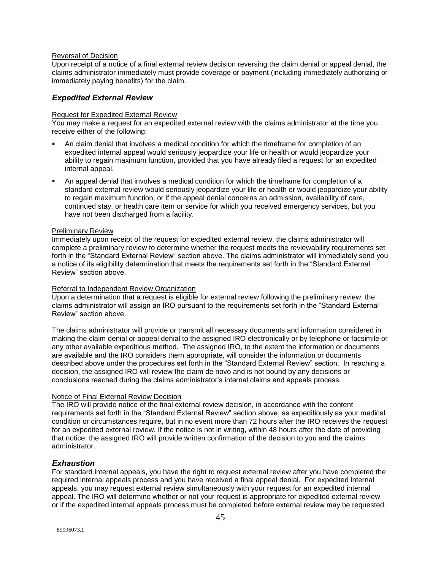#### Reversal of Decision

Upon receipt of a notice of a final external review decision reversing the claim denial or appeal denial, the claims administrator immediately must provide coverage or payment (including immediately authorizing or immediately paying benefits) for the claim.

#### *Expedited External Review*

#### Request for Expedited External Review

You may make a request for an expedited external review with the claims administrator at the time you receive either of the following:

- An claim denial that involves a medical condition for which the timeframe for completion of an expedited internal appeal would seriously jeopardize your life or health or would jeopardize your ability to regain maximum function, provided that you have already filed a request for an expedited internal appeal.
- An appeal denial that involves a medical condition for which the timeframe for completion of a standard external review would seriously jeopardize your life or health or would jeopardize your ability to regain maximum function, or if the appeal denial concerns an admission, availability of care, continued stay, or health care item or service for which you received emergency services, but you have not been discharged from a facility.

#### Preliminary Review

Immediately upon receipt of the request for expedited external review, the claims administrator will complete a preliminary review to determine whether the request meets the reviewability requirements set forth in the "Standard External Review" section above. The claims administrator will immediately send you a notice of its eligibility determination that meets the requirements set forth in the "Standard External Review" section above.

#### Referral to Independent Review Organization

Upon a determination that a request is eligible for external review following the preliminary review, the claims administrator will assign an IRO pursuant to the requirements set forth in the "Standard External Review" section above.

The claims administrator will provide or transmit all necessary documents and information considered in making the claim denial or appeal denial to the assigned IRO electronically or by telephone or facsimile or any other available expeditious method. The assigned IRO, to the extent the information or documents are available and the IRO considers them appropriate, will consider the information or documents described above under the procedures set forth in the "Standard External Review" section. In reaching a decision, the assigned IRO will review the claim de novo and is not bound by any decisions or conclusions reached during the claims administrator's internal claims and appeals process.

#### Notice of Final External Review Decision

The IRO will provide notice of the final external review decision, in accordance with the content requirements set forth in the "Standard External Review" section above, as expeditiously as your medical condition or circumstances require, but in no event more than 72 hours after the IRO receives the request for an expedited external review. If the notice is not in writing, within 48 hours after the date of providing that notice, the assigned IRO will provide written confirmation of the decision to you and the claims administrator.

#### *Exhaustion*

For standard internal appeals, you have the right to request external review after you have completed the required internal appeals process and you have received a final appeal denial. For expedited internal appeals, you may request external review simultaneously with your request for an expedited internal appeal. The IRO will determine whether or not your request is appropriate for expedited external review or if the expedited internal appeals process must be completed before external review may be requested.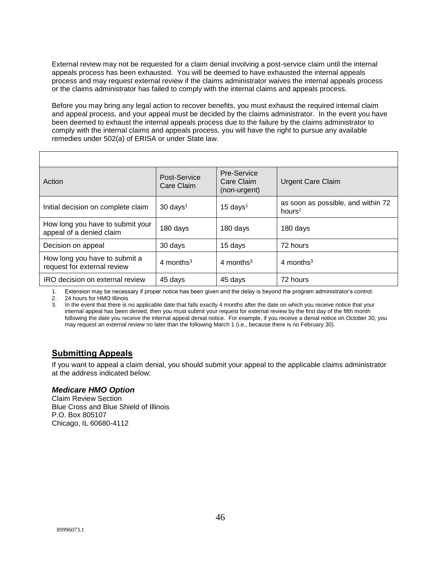External review may not be requested for a claim denial involving a post-service claim until the internal appeals process has been exhausted. You will be deemed to have exhausted the internal appeals process and may request external review if the claims administrator waives the internal appeals process or the claims administrator has failed to comply with the internal claims and appeals process.

Before you may bring any legal action to recover benefits, you must exhaust the required internal claim and appeal process, and your appeal must be decided by the claims administrator. In the event you have been deemed to exhaust the internal appeals process due to the failure by the claims administrator to comply with the internal claims and appeals process, you will have the right to pursue any available remedies under 502(a) of ERISA or under State law.

| Action                                                       | Post-Service<br>Care Claim | <b>Pre-Service</b><br>Care Claim<br>(non-urgent) | <b>Urgent Care Claim</b>                        |
|--------------------------------------------------------------|----------------------------|--------------------------------------------------|-------------------------------------------------|
| Initial decision on complete claim                           | $30 \text{ days}^1$        | $15 \text{ days}^1$                              | as soon as possible, and within 72<br>hours $2$ |
| How long you have to submit your<br>appeal of a denied claim | 180 days                   | 180 days                                         | 180 days                                        |
| Decision on appeal                                           | 30 days                    | 15 days                                          | 72 hours                                        |
| How long you have to submit a<br>request for external review | 4 months <sup>3</sup>      | 4 months <sup>3</sup>                            | 4 months $3$                                    |
| IRO decision on external review                              | 45 days                    | 45 days                                          | 72 hours                                        |

1. Extension may be necessary if proper notice has been given and the delay is beyond the program administrator's control.

2. 24 hours for HMO Illinois

3. In the event that there is no applicable date that falls exactly 4 months after the date on which you receive notice that your internal appeal has been denied, then you must submit your request for external review by the first day of the fifth month following the date you receive the internal appeal denial notice. For example, if you receive a denial notice on October 30, you may request an external review no later than the following March 1 (i.e., because there is no February 30).

## **Submitting Appeals**

If you want to appeal a claim denial, you should submit your appeal to the applicable claims administrator at the address indicated below:

#### *Medicare HMO Option*

Claim Review Section Blue Cross and Blue Shield of Illinois P.O. Box 805107 Chicago, IL 60680-4112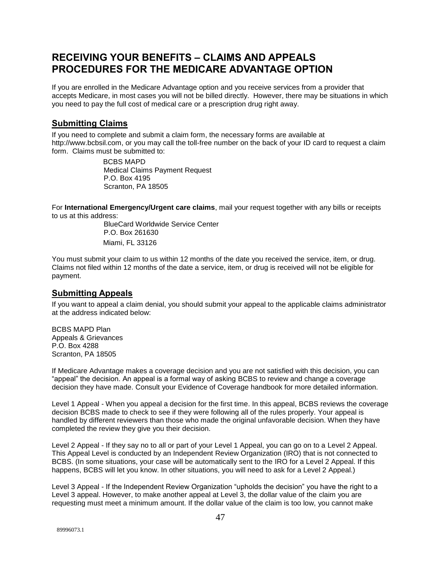## **RECEIVING YOUR BENEFITS – CLAIMS AND APPEALS PROCEDURES FOR THE MEDICARE ADVANTAGE OPTION**

If you are enrolled in the Medicare Advantage option and you receive services from a provider that accepts Medicare, in most cases you will not be billed directly. However, there may be situations in which you need to pay the full cost of medical care or a prescription drug right away.

## **Submitting Claims**

If you need to complete and submit a claim form, the necessary forms are available at [http://www.bcbsil.com,](http://www.bcbsil.com/) or you may call the toll-free number on the back of your ID card to request a claim form. Claims must be submitted to:

> BCBS MAPD Medical Claims Payment Request P.O. Box 4195 Scranton, PA 18505

For **International Emergency/Urgent care claims**, mail your request together with any bills or receipts to us at this address:

BlueCard Worldwide Service Center P.O. Box 261630 Miami, FL 33126

You must submit your claim to us within 12 months of the date you received the service, item, or drug. Claims not filed within 12 months of the date a service, item, or drug is received will not be eligible for payment.

### **Submitting Appeals**

If you want to appeal a claim denial, you should submit your appeal to the applicable claims administrator at the address indicated below:

BCBS MAPD Plan Appeals & Grievances P.O. Box 4288 Scranton, PA 18505

If Medicare Advantage makes a coverage decision and you are not satisfied with this decision, you can "appeal" the decision. An appeal is a formal way of asking BCBS to review and change a coverage decision they have made. Consult your Evidence of Coverage handbook for more detailed information.

Level 1 Appeal - When you appeal a decision for the first time. In this appeal, BCBS reviews the coverage decision BCBS made to check to see if they were following all of the rules properly. Your appeal is handled by different reviewers than those who made the original unfavorable decision. When they have completed the review they give you their decision.

Level 2 Appeal - If they say no to all or part of your Level 1 Appeal, you can go on to a Level 2 Appeal. This Appeal Level is conducted by an Independent Review Organization (IRO) that is not connected to BCBS. (In some situations, your case will be automatically sent to the IRO for a Level 2 Appeal. If this happens, BCBS will let you know. In other situations, you will need to ask for a Level 2 Appeal.)

Level 3 Appeal - If the Independent Review Organization "upholds the decision" you have the right to a Level 3 appeal. However, to make another appeal at Level 3, the dollar value of the claim you are requesting must meet a minimum amount. If the dollar value of the claim is too low, you cannot make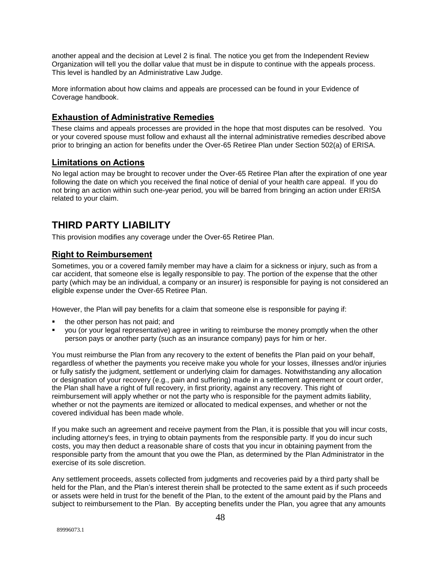another appeal and the decision at Level 2 is final. The notice you get from the Independent Review Organization will tell you the dollar value that must be in dispute to continue with the appeals process. This level is handled by an Administrative Law Judge.

More information about how claims and appeals are processed can be found in your Evidence of Coverage handbook.

## **Exhaustion of Administrative Remedies**

These claims and appeals processes are provided in the hope that most disputes can be resolved. You or your covered spouse must follow and exhaust all the internal administrative remedies described above prior to bringing an action for benefits under the Over-65 Retiree Plan under Section 502(a) of ERISA.

## **Limitations on Actions**

No legal action may be brought to recover under the Over-65 Retiree Plan after the expiration of one year following the date on which you received the final notice of denial of your health care appeal. If you do not bring an action within such one-year period, you will be barred from bringing an action under ERISA related to your claim.

## **THIRD PARTY LIABILITY**

This provision modifies any coverage under the Over-65 Retiree Plan.

## **Right to Reimbursement**

Sometimes, you or a covered family member may have a claim for a sickness or injury, such as from a car accident, that someone else is legally responsible to pay. The portion of the expense that the other party (which may be an individual, a company or an insurer) is responsible for paying is not considered an eligible expense under the Over-65 Retiree Plan.

However, the Plan will pay benefits for a claim that someone else is responsible for paying if:

- the other person has not paid; and
- you (or your legal representative) agree in writing to reimburse the money promptly when the other person pays or another party (such as an insurance company) pays for him or her.

You must reimburse the Plan from any recovery to the extent of benefits the Plan paid on your behalf, regardless of whether the payments you receive make you whole for your losses, illnesses and/or injuries or fully satisfy the judgment, settlement or underlying claim for damages. Notwithstanding any allocation or designation of your recovery (e.g., pain and suffering) made in a settlement agreement or court order, the Plan shall have a right of full recovery, in first priority, against any recovery. This right of reimbursement will apply whether or not the party who is responsible for the payment admits liability, whether or not the payments are itemized or allocated to medical expenses, and whether or not the covered individual has been made whole.

If you make such an agreement and receive payment from the Plan, it is possible that you will incur costs, including attorney's fees, in trying to obtain payments from the responsible party. If you do incur such costs, you may then deduct a reasonable share of costs that you incur in obtaining payment from the responsible party from the amount that you owe the Plan, as determined by the Plan Administrator in the exercise of its sole discretion.

Any settlement proceeds, assets collected from judgments and recoveries paid by a third party shall be held for the Plan, and the Plan's interest therein shall be protected to the same extent as if such proceeds or assets were held in trust for the benefit of the Plan, to the extent of the amount paid by the Plans and subject to reimbursement to the Plan. By accepting benefits under the Plan, you agree that any amounts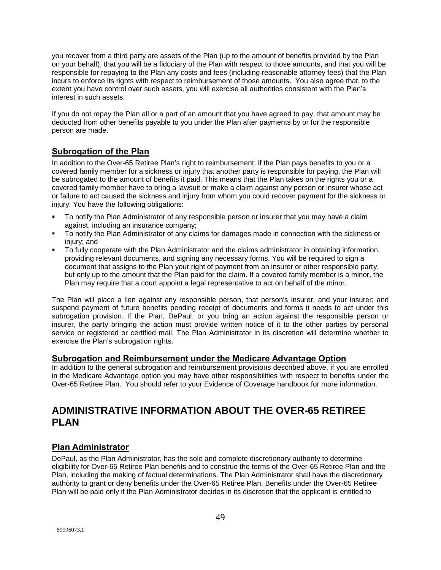you recover from a third party are assets of the Plan (up to the amount of benefits provided by the Plan on your behalf), that you will be a fiduciary of the Plan with respect to those amounts, and that you will be responsible for repaying to the Plan any costs and fees (including reasonable attorney fees) that the Plan incurs to enforce its rights with respect to reimbursement of those amounts. You also agree that, to the extent you have control over such assets, you will exercise all authorities consistent with the Plan's interest in such assets.

If you do not repay the Plan all or a part of an amount that you have agreed to pay, that amount may be deducted from other benefits payable to you under the Plan after payments by or for the responsible person are made.

## **Subrogation of the Plan**

In addition to the Over-65 Retiree Plan's right to reimbursement, if the Plan pays benefits to you or a covered family member for a sickness or injury that another party is responsible for paying, the Plan will be subrogated to the amount of benefits it paid. This means that the Plan takes on the rights you or a covered family member have to bring a lawsuit or make a claim against any person or insurer whose act or failure to act caused the sickness and injury from whom you could recover payment for the sickness or injury. You have the following obligations:

- To notify the Plan Administrator of any responsible person or insurer that you may have a claim against, including an insurance company;
- To notify the Plan Administrator of any claims for damages made in connection with the sickness or injury; and
- To fully cooperate with the Plan Administrator and the claims administrator in obtaining information, providing relevant documents, and signing any necessary forms. You will be required to sign a document that assigns to the Plan your right of payment from an insurer or other responsible party, but only up to the amount that the Plan paid for the claim. If a covered family member is a minor, the Plan may require that a court appoint a legal representative to act on behalf of the minor.

The Plan will place a lien against any responsible person, that person's insurer, and your insurer; and suspend payment of future benefits pending receipt of documents and forms it needs to act under this subrogation provision. If the Plan, DePaul, or you bring an action against the responsible person or insurer, the party bringing the action must provide written notice of it to the other parties by personal service or registered or certified mail. The Plan Administrator in its discretion will determine whether to exercise the Plan's subrogation rights.

### **Subrogation and Reimbursement under the Medicare Advantage Option**

In addition to the general subrogation and reimbursement provisions described above, if you are enrolled in the Medicare Advantage option you may have other responsibilities with respect to benefits under the Over-65 Retiree Plan. You should refer to your Evidence of Coverage handbook for more information.

## **ADMINISTRATIVE INFORMATION ABOUT THE OVER-65 RETIREE PLAN**

## **Plan Administrator**

DePaul, as the Plan Administrator, has the sole and complete discretionary authority to determine eligibility for Over-65 Retiree Plan benefits and to construe the terms of the Over-65 Retiree Plan and the Plan, including the making of factual determinations. The Plan Administrator shall have the discretionary authority to grant or deny benefits under the Over-65 Retiree Plan. Benefits under the Over-65 Retiree Plan will be paid only if the Plan Administrator decides in its discretion that the applicant is entitled to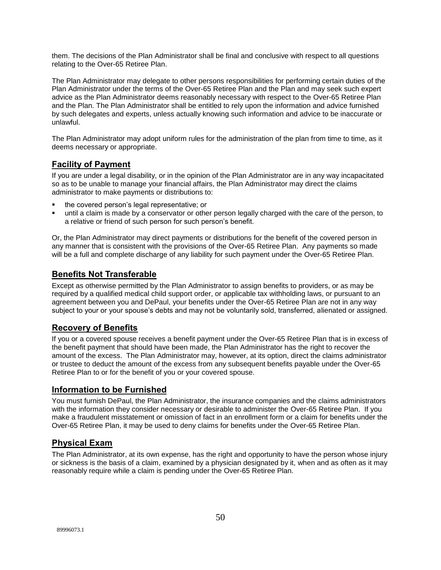them. The decisions of the Plan Administrator shall be final and conclusive with respect to all questions relating to the Over-65 Retiree Plan.

The Plan Administrator may delegate to other persons responsibilities for performing certain duties of the Plan Administrator under the terms of the Over-65 Retiree Plan and the Plan and may seek such expert advice as the Plan Administrator deems reasonably necessary with respect to the Over-65 Retiree Plan and the Plan. The Plan Administrator shall be entitled to rely upon the information and advice furnished by such delegates and experts, unless actually knowing such information and advice to be inaccurate or unlawful.

The Plan Administrator may adopt uniform rules for the administration of the plan from time to time, as it deems necessary or appropriate.

## **Facility of Payment**

If you are under a legal disability, or in the opinion of the Plan Administrator are in any way incapacitated so as to be unable to manage your financial affairs, the Plan Administrator may direct the claims administrator to make payments or distributions to:

- the covered person's legal representative; or
- until a claim is made by a conservator or other person legally charged with the care of the person, to a relative or friend of such person for such person's benefit.

Or, the Plan Administrator may direct payments or distributions for the benefit of the covered person in any manner that is consistent with the provisions of the Over-65 Retiree Plan. Any payments so made will be a full and complete discharge of any liability for such payment under the Over-65 Retiree Plan.

## **Benefits Not Transferable**

Except as otherwise permitted by the Plan Administrator to assign benefits to providers, or as may be required by a qualified medical child support order, or applicable tax withholding laws, or pursuant to an agreement between you and DePaul, your benefits under the Over-65 Retiree Plan are not in any way subject to your or your spouse's debts and may not be voluntarily sold, transferred, alienated or assigned.

## **Recovery of Benefits**

If you or a covered spouse receives a benefit payment under the Over-65 Retiree Plan that is in excess of the benefit payment that should have been made, the Plan Administrator has the right to recover the amount of the excess. The Plan Administrator may, however, at its option, direct the claims administrator or trustee to deduct the amount of the excess from any subsequent benefits payable under the Over-65 Retiree Plan to or for the benefit of you or your covered spouse.

### **Information to be Furnished**

You must furnish DePaul, the Plan Administrator, the insurance companies and the claims administrators with the information they consider necessary or desirable to administer the Over-65 Retiree Plan. If you make a fraudulent misstatement or omission of fact in an enrollment form or a claim for benefits under the Over-65 Retiree Plan, it may be used to deny claims for benefits under the Over-65 Retiree Plan.

### **Physical Exam**

The Plan Administrator, at its own expense, has the right and opportunity to have the person whose injury or sickness is the basis of a claim, examined by a physician designated by it, when and as often as it may reasonably require while a claim is pending under the Over-65 Retiree Plan.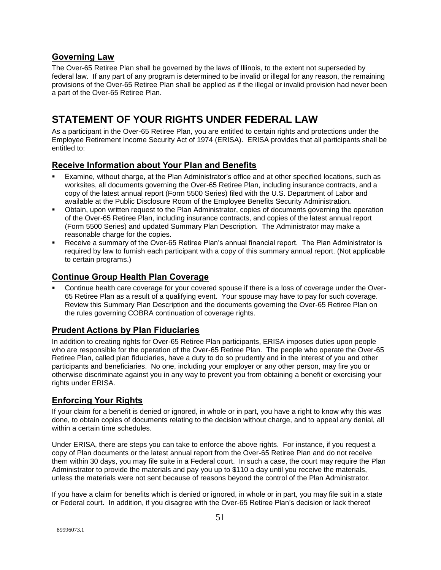## **Governing Law**

The Over-65 Retiree Plan shall be governed by the laws of Illinois, to the extent not superseded by federal law. If any part of any program is determined to be invalid or illegal for any reason, the remaining provisions of the Over-65 Retiree Plan shall be applied as if the illegal or invalid provision had never been a part of the Over-65 Retiree Plan.

## **STATEMENT OF YOUR RIGHTS UNDER FEDERAL LAW**

As a participant in the Over-65 Retiree Plan, you are entitled to certain rights and protections under the Employee Retirement Income Security Act of 1974 (ERISA). ERISA provides that all participants shall be entitled to:

## **Receive Information about Your Plan and Benefits**

- Examine, without charge, at the Plan Administrator's office and at other specified locations, such as worksites, all documents governing the Over-65 Retiree Plan, including insurance contracts, and a copy of the latest annual report (Form 5500 Series) filed with the U.S. Department of Labor and available at the Public Disclosure Room of the Employee Benefits Security Administration.
- Obtain, upon written request to the Plan Administrator, copies of documents governing the operation of the Over-65 Retiree Plan, including insurance contracts, and copies of the latest annual report (Form 5500 Series) and updated Summary Plan Description. The Administrator may make a reasonable charge for the copies.
- Receive a summary of the Over-65 Retiree Plan's annual financial report. The Plan Administrator is required by law to furnish each participant with a copy of this summary annual report. (Not applicable to certain programs.)

### **Continue Group Health Plan Coverage**

 Continue health care coverage for your covered spouse if there is a loss of coverage under the Over-65 Retiree Plan as a result of a qualifying event. Your spouse may have to pay for such coverage. Review this Summary Plan Description and the documents governing the Over-65 Retiree Plan on the rules governing COBRA continuation of coverage rights.

### **Prudent Actions by Plan Fiduciaries**

In addition to creating rights for Over-65 Retiree Plan participants, ERISA imposes duties upon people who are responsible for the operation of the Over-65 Retiree Plan. The people who operate the Over-65 Retiree Plan, called plan fiduciaries, have a duty to do so prudently and in the interest of you and other participants and beneficiaries. No one, including your employer or any other person, may fire you or otherwise discriminate against you in any way to prevent you from obtaining a benefit or exercising your rights under ERISA.

## **Enforcing Your Rights**

If your claim for a benefit is denied or ignored, in whole or in part, you have a right to know why this was done, to obtain copies of documents relating to the decision without charge, and to appeal any denial, all within a certain time schedules.

Under ERISA, there are steps you can take to enforce the above rights. For instance, if you request a copy of Plan documents or the latest annual report from the Over-65 Retiree Plan and do not receive them within 30 days, you may file suite in a Federal court. In such a case, the court may require the Plan Administrator to provide the materials and pay you up to \$110 a day until you receive the materials, unless the materials were not sent because of reasons beyond the control of the Plan Administrator.

If you have a claim for benefits which is denied or ignored, in whole or in part, you may file suit in a state or Federal court. In addition, if you disagree with the Over-65 Retiree Plan's decision or lack thereof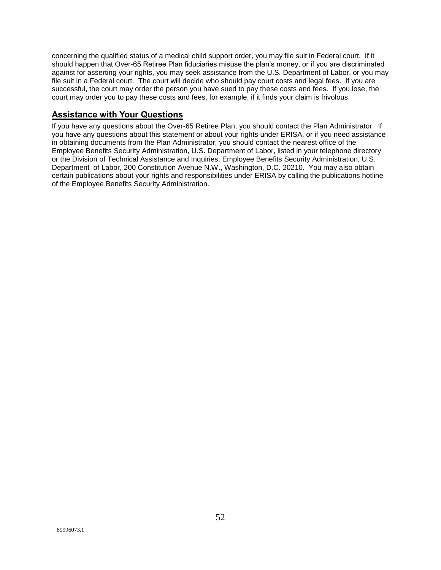concerning the qualified status of a medical child support order, you may file suit in Federal court. If it should happen that Over-65 Retiree Plan fiduciaries misuse the plan's money, or if you are discriminated against for asserting your rights, you may seek assistance from the U.S. Department of Labor, or you may file suit in a Federal court. The court will decide who should pay court costs and legal fees. If you are successful, the court may order the person you have sued to pay these costs and fees. If you lose, the court may order you to pay these costs and fees, for example, if it finds your claim is frivolous.

## **Assistance with Your Questions**

If you have any questions about the Over-65 Retiree Plan, you should contact the Plan Administrator. If you have any questions about this statement or about your rights under ERISA, or if you need assistance in obtaining documents from the Plan Administrator, you should contact the nearest office of the Employee Benefits Security Administration, U.S. Department of Labor, listed in your telephone directory or the Division of Technical Assistance and Inquiries, Employee Benefits Security Administration, U.S. Department of Labor, 200 Constitution Avenue N.W., Washington, D.C. 20210. You may also obtain certain publications about your rights and responsibilities under ERISA by calling the publications hotline of the Employee Benefits Security Administration.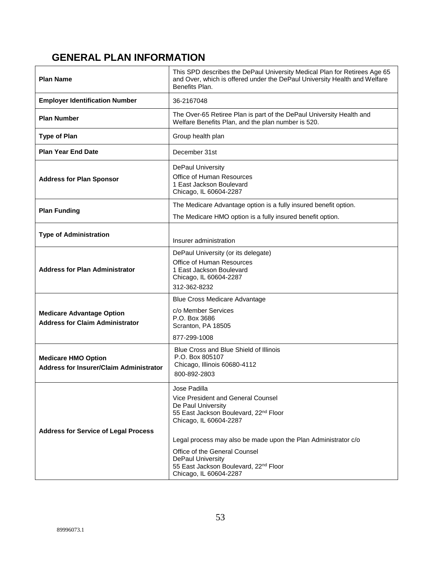## **GENERAL PLAN INFORMATION**

| <b>Plan Name</b>                                                             | This SPD describes the DePaul University Medical Plan for Retirees Age 65<br>and Over, which is offered under the DePaul University Health and Welfare<br>Benefits Plan.                                                                                                                                                                                  |
|------------------------------------------------------------------------------|-----------------------------------------------------------------------------------------------------------------------------------------------------------------------------------------------------------------------------------------------------------------------------------------------------------------------------------------------------------|
| <b>Employer Identification Number</b>                                        | 36-2167048                                                                                                                                                                                                                                                                                                                                                |
| <b>Plan Number</b>                                                           | The Over-65 Retiree Plan is part of the DePaul University Health and<br>Welfare Benefits Plan, and the plan number is 520.                                                                                                                                                                                                                                |
| <b>Type of Plan</b>                                                          | Group health plan                                                                                                                                                                                                                                                                                                                                         |
| <b>Plan Year End Date</b>                                                    | December 31st                                                                                                                                                                                                                                                                                                                                             |
| <b>Address for Plan Sponsor</b>                                              | DePaul University<br><b>Office of Human Resources</b><br>1 East Jackson Boulevard<br>Chicago, IL 60604-2287                                                                                                                                                                                                                                               |
| <b>Plan Funding</b>                                                          | The Medicare Advantage option is a fully insured benefit option.                                                                                                                                                                                                                                                                                          |
|                                                                              | The Medicare HMO option is a fully insured benefit option.                                                                                                                                                                                                                                                                                                |
| <b>Type of Administration</b>                                                | Insurer administration                                                                                                                                                                                                                                                                                                                                    |
| <b>Address for Plan Administrator</b>                                        | DePaul University (or its delegate)<br>Office of Human Resources<br>1 East Jackson Boulevard<br>Chicago, IL 60604-2287<br>312-362-8232                                                                                                                                                                                                                    |
| <b>Medicare Advantage Option</b><br><b>Address for Claim Administrator</b>   | <b>Blue Cross Medicare Advantage</b><br>c/o Member Services<br>P.O. Box 3686<br>Scranton, PA 18505<br>877-299-1008                                                                                                                                                                                                                                        |
| <b>Medicare HMO Option</b><br><b>Address for Insurer/Claim Administrator</b> | Blue Cross and Blue Shield of Illinois<br>P.O. Box 805107<br>Chicago, Illinois 60680-4112<br>800-892-2803                                                                                                                                                                                                                                                 |
| <b>Address for Service of Legal Process</b>                                  | Jose Padilla<br>Vice President and General Counsel<br>De Paul University<br>55 East Jackson Boulevard, 22 <sup>nd</sup> Floor<br>Chicago, IL 60604-2287<br>Legal process may also be made upon the Plan Administrator c/o<br>Office of the General Counsel<br><b>DePaul University</b><br>55 East Jackson Boulevard, 22nd Floor<br>Chicago, IL 60604-2287 |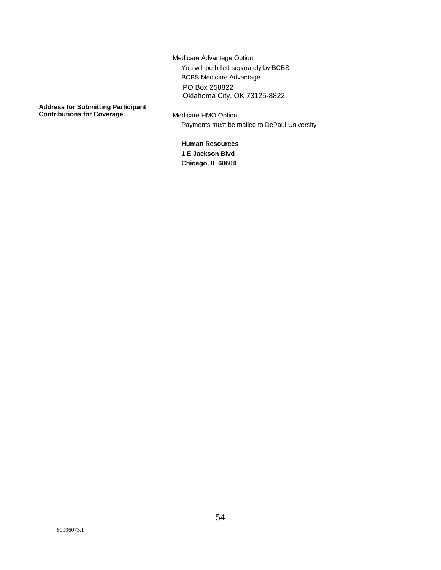|                                           | Medicare Advantage Option:<br>You will be billed separately by BCBS. |
|-------------------------------------------|----------------------------------------------------------------------|
|                                           | <b>BCBS Medicare Advantage</b>                                       |
|                                           | PO Box 258822                                                        |
|                                           | Oklahoma City, OK 73125-8822                                         |
| <b>Address for Submitting Participant</b> |                                                                      |
| <b>Contributions for Coverage</b>         | Medicare HMO Option:                                                 |
|                                           | Payments must be mailed to DePaul University                         |
|                                           |                                                                      |
|                                           | <b>Human Resources</b>                                               |
|                                           | 1 E Jackson Blvd                                                     |
|                                           | Chicago, IL 60604                                                    |